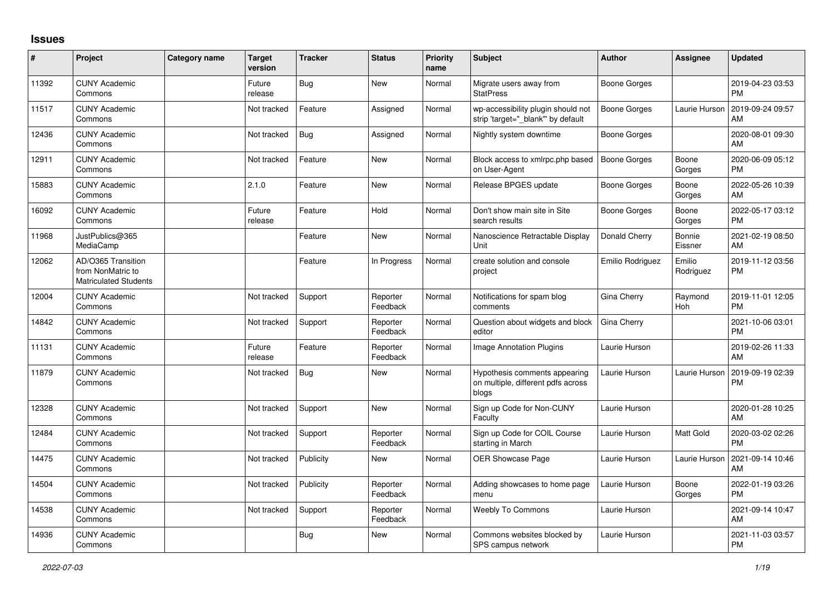## **Issues**

| #     | Project                                                                 | Category name | <b>Target</b><br>version | <b>Tracker</b> | <b>Status</b>        | <b>Priority</b><br>name | <b>Subject</b>                                                               | <b>Author</b>       | <b>Assignee</b>     | <b>Updated</b>                |
|-------|-------------------------------------------------------------------------|---------------|--------------------------|----------------|----------------------|-------------------------|------------------------------------------------------------------------------|---------------------|---------------------|-------------------------------|
| 11392 | <b>CUNY Academic</b><br>Commons                                         |               | Future<br>release        | <b>Bug</b>     | <b>New</b>           | Normal                  | Migrate users away from<br><b>StatPress</b>                                  | Boone Gorges        |                     | 2019-04-23 03:53<br><b>PM</b> |
| 11517 | <b>CUNY Academic</b><br>Commons                                         |               | Not tracked              | Feature        | Assigned             | Normal                  | wp-accessibility plugin should not<br>strip 'target=" blank" by default      | <b>Boone Gorges</b> | Laurie Hurson       | 2019-09-24 09:57<br>AM        |
| 12436 | <b>CUNY Academic</b><br>Commons                                         |               | Not tracked              | Bug            | Assigned             | Normal                  | Nightly system downtime                                                      | Boone Gorges        |                     | 2020-08-01 09:30<br>AM        |
| 12911 | <b>CUNY Academic</b><br>Commons                                         |               | Not tracked              | Feature        | <b>New</b>           | Normal                  | Block access to xmlrpc.php based<br>on User-Agent                            | <b>Boone Gorges</b> | Boone<br>Gorges     | 2020-06-09 05:12<br><b>PM</b> |
| 15883 | <b>CUNY Academic</b><br>Commons                                         |               | 2.1.0                    | Feature        | <b>New</b>           | Normal                  | Release BPGES update                                                         | Boone Gorges        | Boone<br>Gorges     | 2022-05-26 10:39<br>AM        |
| 16092 | <b>CUNY Academic</b><br>Commons                                         |               | Future<br>release        | Feature        | Hold                 | Normal                  | Don't show main site in Site<br>search results                               | Boone Gorges        | Boone<br>Gorges     | 2022-05-17 03:12<br><b>PM</b> |
| 11968 | JustPublics@365<br>MediaCamp                                            |               |                          | Feature        | <b>New</b>           | Normal                  | Nanoscience Retractable Display<br>Unit                                      | Donald Cherry       | Bonnie<br>Eissner   | 2021-02-19 08:50<br>AM        |
| 12062 | AD/O365 Transition<br>from NonMatric to<br><b>Matriculated Students</b> |               |                          | Feature        | In Progress          | Normal                  | create solution and console<br>project                                       | Emilio Rodriguez    | Emilio<br>Rodriguez | 2019-11-12 03:56<br><b>PM</b> |
| 12004 | <b>CUNY Academic</b><br>Commons                                         |               | Not tracked              | Support        | Reporter<br>Feedback | Normal                  | Notifications for spam blog<br>comments                                      | Gina Cherry         | Raymond<br>Hoh      | 2019-11-01 12:05<br><b>PM</b> |
| 14842 | <b>CUNY Academic</b><br>Commons                                         |               | Not tracked              | Support        | Reporter<br>Feedback | Normal                  | Question about widgets and block<br>editor                                   | Gina Cherry         |                     | 2021-10-06 03:01<br><b>PM</b> |
| 11131 | <b>CUNY Academic</b><br>Commons                                         |               | Future<br>release        | Feature        | Reporter<br>Feedback | Normal                  | Image Annotation Plugins                                                     | Laurie Hurson       |                     | 2019-02-26 11:33<br>AM        |
| 11879 | <b>CUNY Academic</b><br>Commons                                         |               | Not tracked              | Bug            | <b>New</b>           | Normal                  | Hypothesis comments appearing<br>on multiple, different pdfs across<br>blogs | Laurie Hurson       | Laurie Hurson       | 2019-09-19 02:39<br>PM        |
| 12328 | <b>CUNY Academic</b><br>Commons                                         |               | Not tracked              | Support        | <b>New</b>           | Normal                  | Sign up Code for Non-CUNY<br>Faculty                                         | Laurie Hurson       |                     | 2020-01-28 10:25<br>AM        |
| 12484 | <b>CUNY Academic</b><br>Commons                                         |               | Not tracked              | Support        | Reporter<br>Feedback | Normal                  | Sign up Code for COIL Course<br>starting in March                            | Laurie Hurson       | <b>Matt Gold</b>    | 2020-03-02 02:26<br><b>PM</b> |
| 14475 | <b>CUNY Academic</b><br>Commons                                         |               | Not tracked              | Publicity      | <b>New</b>           | Normal                  | <b>OER Showcase Page</b>                                                     | Laurie Hurson       | Laurie Hurson       | 2021-09-14 10:46<br>AM        |
| 14504 | <b>CUNY Academic</b><br>Commons                                         |               | Not tracked              | Publicity      | Reporter<br>Feedback | Normal                  | Adding showcases to home page<br>menu                                        | Laurie Hurson       | Boone<br>Gorges     | 2022-01-19 03:26<br><b>PM</b> |
| 14538 | <b>CUNY Academic</b><br>Commons                                         |               | Not tracked              | Support        | Reporter<br>Feedback | Normal                  | <b>Weebly To Commons</b>                                                     | Laurie Hurson       |                     | 2021-09-14 10:47<br>AM        |
| 14936 | <b>CUNY Academic</b><br>Commons                                         |               |                          | <b>Bug</b>     | New                  | Normal                  | Commons websites blocked by<br>SPS campus network                            | Laurie Hurson       |                     | 2021-11-03 03:57<br><b>PM</b> |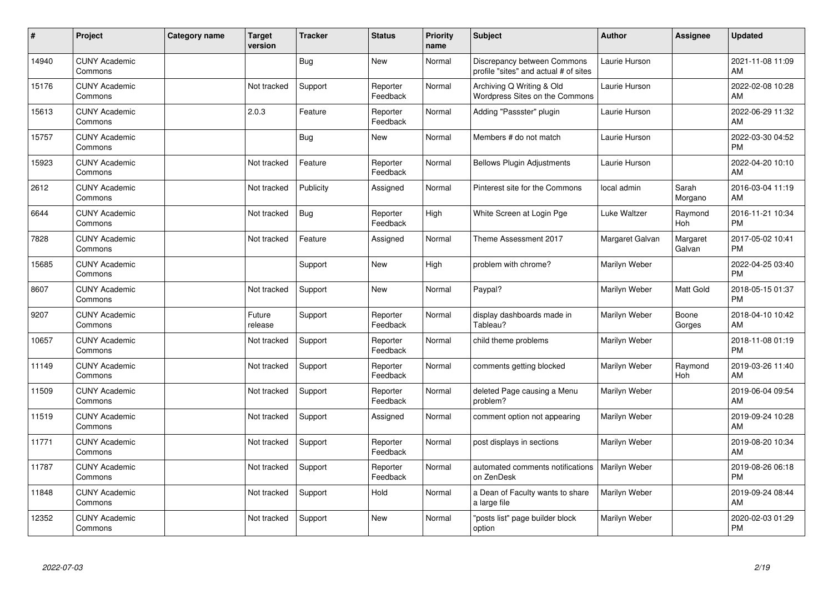| #     | Project                         | <b>Category name</b> | <b>Target</b><br>version | <b>Tracker</b> | <b>Status</b>        | <b>Priority</b><br>name | <b>Subject</b>                                                       | <b>Author</b>   | <b>Assignee</b>    | <b>Updated</b>                |
|-------|---------------------------------|----------------------|--------------------------|----------------|----------------------|-------------------------|----------------------------------------------------------------------|-----------------|--------------------|-------------------------------|
| 14940 | <b>CUNY Academic</b><br>Commons |                      |                          | Bug            | <b>New</b>           | Normal                  | Discrepancy between Commons<br>profile "sites" and actual # of sites | Laurie Hurson   |                    | 2021-11-08 11:09<br>AM        |
| 15176 | <b>CUNY Academic</b><br>Commons |                      | Not tracked              | Support        | Reporter<br>Feedback | Normal                  | Archiving Q Writing & Old<br>Wordpress Sites on the Commons          | Laurie Hurson   |                    | 2022-02-08 10:28<br>AM        |
| 15613 | <b>CUNY Academic</b><br>Commons |                      | 2.0.3                    | Feature        | Reporter<br>Feedback | Normal                  | Adding "Passster" plugin                                             | Laurie Hurson   |                    | 2022-06-29 11:32<br>AM        |
| 15757 | <b>CUNY Academic</b><br>Commons |                      |                          | <b>Bug</b>     | <b>New</b>           | Normal                  | Members # do not match                                               | Laurie Hurson   |                    | 2022-03-30 04:52<br><b>PM</b> |
| 15923 | <b>CUNY Academic</b><br>Commons |                      | Not tracked              | Feature        | Reporter<br>Feedback | Normal                  | <b>Bellows Plugin Adjustments</b>                                    | Laurie Hurson   |                    | 2022-04-20 10:10<br>AM        |
| 2612  | <b>CUNY Academic</b><br>Commons |                      | Not tracked              | Publicity      | Assigned             | Normal                  | Pinterest site for the Commons                                       | local admin     | Sarah<br>Morgano   | 2016-03-04 11:19<br>AM        |
| 6644  | <b>CUNY Academic</b><br>Commons |                      | Not tracked              | <b>Bug</b>     | Reporter<br>Feedback | High                    | White Screen at Login Pge                                            | Luke Waltzer    | Raymond<br>Hoh     | 2016-11-21 10:34<br><b>PM</b> |
| 7828  | <b>CUNY Academic</b><br>Commons |                      | Not tracked              | Feature        | Assigned             | Normal                  | Theme Assessment 2017                                                | Margaret Galvan | Margaret<br>Galvan | 2017-05-02 10:41<br><b>PM</b> |
| 15685 | <b>CUNY Academic</b><br>Commons |                      |                          | Support        | <b>New</b>           | High                    | problem with chrome?                                                 | Marilyn Weber   |                    | 2022-04-25 03:40<br><b>PM</b> |
| 8607  | <b>CUNY Academic</b><br>Commons |                      | Not tracked              | Support        | <b>New</b>           | Normal                  | Paypal?                                                              | Marilyn Weber   | Matt Gold          | 2018-05-15 01:37<br><b>PM</b> |
| 9207  | <b>CUNY Academic</b><br>Commons |                      | Future<br>release        | Support        | Reporter<br>Feedback | Normal                  | display dashboards made in<br>Tableau?                               | Marilyn Weber   | Boone<br>Gorges    | 2018-04-10 10:42<br>AM        |
| 10657 | <b>CUNY Academic</b><br>Commons |                      | Not tracked              | Support        | Reporter<br>Feedback | Normal                  | child theme problems                                                 | Marilyn Weber   |                    | 2018-11-08 01:19<br><b>PM</b> |
| 11149 | <b>CUNY Academic</b><br>Commons |                      | Not tracked              | Support        | Reporter<br>Feedback | Normal                  | comments getting blocked                                             | Marilyn Weber   | Raymond<br>Hoh     | 2019-03-26 11:40<br>AM        |
| 11509 | <b>CUNY Academic</b><br>Commons |                      | Not tracked              | Support        | Reporter<br>Feedback | Normal                  | deleted Page causing a Menu<br>problem?                              | Marilyn Weber   |                    | 2019-06-04 09:54<br>AM        |
| 11519 | <b>CUNY Academic</b><br>Commons |                      | Not tracked              | Support        | Assigned             | Normal                  | comment option not appearing                                         | Marilyn Weber   |                    | 2019-09-24 10:28<br>AM        |
| 11771 | <b>CUNY Academic</b><br>Commons |                      | Not tracked              | Support        | Reporter<br>Feedback | Normal                  | post displays in sections                                            | Marilyn Weber   |                    | 2019-08-20 10:34<br>AM        |
| 11787 | <b>CUNY Academic</b><br>Commons |                      | Not tracked              | Support        | Reporter<br>Feedback | Normal                  | automated comments notifications<br>on ZenDesk                       | Marilyn Weber   |                    | 2019-08-26 06:18<br><b>PM</b> |
| 11848 | <b>CUNY Academic</b><br>Commons |                      | Not tracked              | Support        | Hold                 | Normal                  | a Dean of Faculty wants to share<br>a large file                     | Marilyn Weber   |                    | 2019-09-24 08:44<br>AM        |
| 12352 | <b>CUNY Academic</b><br>Commons |                      | Not tracked              | Support        | <b>New</b>           | Normal                  | "posts list" page builder block<br>option                            | Marilyn Weber   |                    | 2020-02-03 01:29<br><b>PM</b> |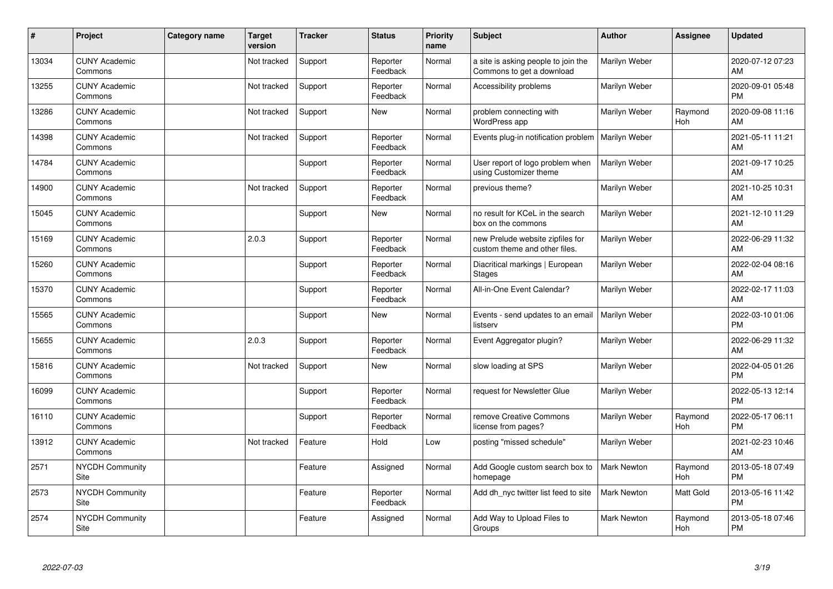| #     | Project                         | Category name | <b>Target</b><br>version | <b>Tracker</b> | <b>Status</b>        | <b>Priority</b><br>name | <b>Subject</b>                                                    | <b>Author</b>      | Assignee       | <b>Updated</b>                |
|-------|---------------------------------|---------------|--------------------------|----------------|----------------------|-------------------------|-------------------------------------------------------------------|--------------------|----------------|-------------------------------|
| 13034 | <b>CUNY Academic</b><br>Commons |               | Not tracked              | Support        | Reporter<br>Feedback | Normal                  | a site is asking people to join the<br>Commons to get a download  | Marilyn Weber      |                | 2020-07-12 07:23<br>AM        |
| 13255 | <b>CUNY Academic</b><br>Commons |               | Not tracked              | Support        | Reporter<br>Feedback | Normal                  | Accessibility problems                                            | Marilyn Weber      |                | 2020-09-01 05:48<br><b>PM</b> |
| 13286 | <b>CUNY Academic</b><br>Commons |               | Not tracked              | Support        | <b>New</b>           | Normal                  | problem connecting with<br>WordPress app                          | Marilyn Weber      | Raymond<br>Hoh | 2020-09-08 11:16<br>AM        |
| 14398 | <b>CUNY Academic</b><br>Commons |               | Not tracked              | Support        | Reporter<br>Feedback | Normal                  | Events plug-in notification problem                               | Marilyn Weber      |                | 2021-05-11 11:21<br>AM        |
| 14784 | <b>CUNY Academic</b><br>Commons |               |                          | Support        | Reporter<br>Feedback | Normal                  | User report of logo problem when<br>using Customizer theme        | Marilyn Weber      |                | 2021-09-17 10:25<br>AM        |
| 14900 | <b>CUNY Academic</b><br>Commons |               | Not tracked              | Support        | Reporter<br>Feedback | Normal                  | previous theme?                                                   | Marilyn Weber      |                | 2021-10-25 10:31<br>AM        |
| 15045 | <b>CUNY Academic</b><br>Commons |               |                          | Support        | <b>New</b>           | Normal                  | no result for KCeL in the search<br>box on the commons            | Marilyn Weber      |                | 2021-12-10 11:29<br>AM        |
| 15169 | <b>CUNY Academic</b><br>Commons |               | 2.0.3                    | Support        | Reporter<br>Feedback | Normal                  | new Prelude website zipfiles for<br>custom theme and other files. | Marilyn Weber      |                | 2022-06-29 11:32<br>AM        |
| 15260 | <b>CUNY Academic</b><br>Commons |               |                          | Support        | Reporter<br>Feedback | Normal                  | Diacritical markings   European<br><b>Stages</b>                  | Marilyn Weber      |                | 2022-02-04 08:16<br>AM        |
| 15370 | <b>CUNY Academic</b><br>Commons |               |                          | Support        | Reporter<br>Feedback | Normal                  | All-in-One Event Calendar?                                        | Marilyn Weber      |                | 2022-02-17 11:03<br>AM        |
| 15565 | <b>CUNY Academic</b><br>Commons |               |                          | Support        | <b>New</b>           | Normal                  | Events - send updates to an email<br>listserv                     | Marilyn Weber      |                | 2022-03-10 01:06<br><b>PM</b> |
| 15655 | <b>CUNY Academic</b><br>Commons |               | 2.0.3                    | Support        | Reporter<br>Feedback | Normal                  | Event Aggregator plugin?                                          | Marilyn Weber      |                | 2022-06-29 11:32<br>AM        |
| 15816 | <b>CUNY Academic</b><br>Commons |               | Not tracked              | Support        | <b>New</b>           | Normal                  | slow loading at SPS                                               | Marilyn Weber      |                | 2022-04-05 01:26<br><b>PM</b> |
| 16099 | <b>CUNY Academic</b><br>Commons |               |                          | Support        | Reporter<br>Feedback | Normal                  | request for Newsletter Glue                                       | Marilyn Weber      |                | 2022-05-13 12:14<br><b>PM</b> |
| 16110 | <b>CUNY Academic</b><br>Commons |               |                          | Support        | Reporter<br>Feedback | Normal                  | remove Creative Commons<br>license from pages?                    | Marilyn Weber      | Raymond<br>Hoh | 2022-05-17 06:11<br><b>PM</b> |
| 13912 | <b>CUNY Academic</b><br>Commons |               | Not tracked              | Feature        | Hold                 | Low                     | posting "missed schedule"                                         | Marilyn Weber      |                | 2021-02-23 10:46<br>AM        |
| 2571  | <b>NYCDH Community</b><br>Site  |               |                          | Feature        | Assigned             | Normal                  | Add Google custom search box to<br>homepage                       | Mark Newton        | Raymond<br>Hoh | 2013-05-18 07:49<br><b>PM</b> |
| 2573  | <b>NYCDH Community</b><br>Site  |               |                          | Feature        | Reporter<br>Feedback | Normal                  | Add dh_nyc twitter list feed to site                              | <b>Mark Newton</b> | Matt Gold      | 2013-05-16 11:42<br><b>PM</b> |
| 2574  | NYCDH Community<br>Site         |               |                          | Feature        | Assigned             | Normal                  | Add Way to Upload Files to<br>Groups                              | <b>Mark Newton</b> | Raymond<br>Hoh | 2013-05-18 07:46<br><b>PM</b> |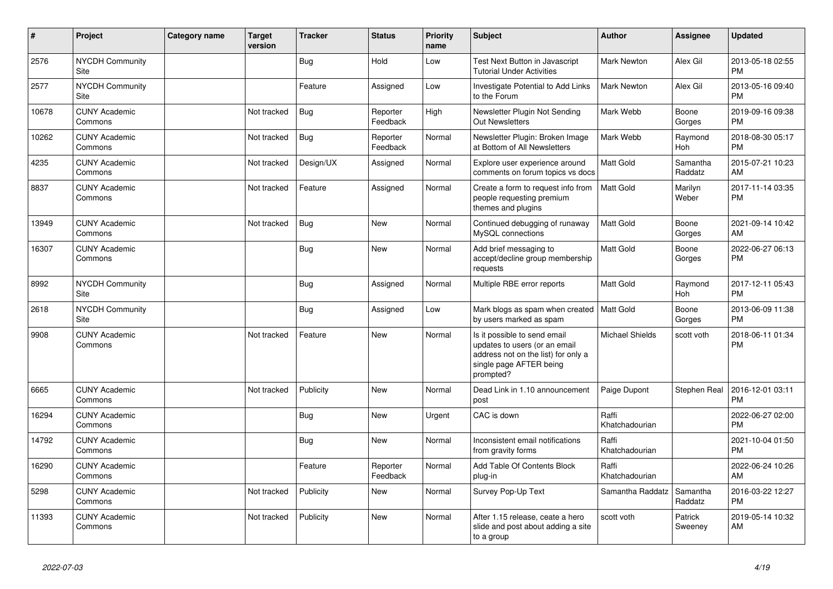| #     | Project                         | Category name | Target<br>version | <b>Tracker</b> | <b>Status</b>        | Priority<br>name | <b>Subject</b>                                                                                                                               | <b>Author</b>           | <b>Assignee</b>     | <b>Updated</b>                |
|-------|---------------------------------|---------------|-------------------|----------------|----------------------|------------------|----------------------------------------------------------------------------------------------------------------------------------------------|-------------------------|---------------------|-------------------------------|
| 2576  | <b>NYCDH Community</b><br>Site  |               |                   | <b>Bug</b>     | Hold                 | Low              | Test Next Button in Javascript<br><b>Tutorial Under Activities</b>                                                                           | <b>Mark Newton</b>      | Alex Gil            | 2013-05-18 02:55<br><b>PM</b> |
| 2577  | NYCDH Community<br>Site         |               |                   | Feature        | Assigned             | Low              | Investigate Potential to Add Links<br>to the Forum                                                                                           | <b>Mark Newton</b>      | Alex Gil            | 2013-05-16 09:40<br><b>PM</b> |
| 10678 | <b>CUNY Academic</b><br>Commons |               | Not tracked       | Bug            | Reporter<br>Feedback | High             | Newsletter Plugin Not Sending<br><b>Out Newsletters</b>                                                                                      | Mark Webb               | Boone<br>Gorges     | 2019-09-16 09:38<br><b>PM</b> |
| 10262 | <b>CUNY Academic</b><br>Commons |               | Not tracked       | Bug            | Reporter<br>Feedback | Normal           | Newsletter Plugin: Broken Image<br>at Bottom of All Newsletters                                                                              | Mark Webb               | Raymond<br>Hoh      | 2018-08-30 05:17<br><b>PM</b> |
| 4235  | <b>CUNY Academic</b><br>Commons |               | Not tracked       | Design/UX      | Assigned             | Normal           | Explore user experience around<br>comments on forum topics vs docs                                                                           | Matt Gold               | Samantha<br>Raddatz | 2015-07-21 10:23<br>AM        |
| 8837  | <b>CUNY Academic</b><br>Commons |               | Not tracked       | Feature        | Assigned             | Normal           | Create a form to request info from<br>people requesting premium<br>themes and plugins                                                        | <b>Matt Gold</b>        | Marilyn<br>Weber    | 2017-11-14 03:35<br><b>PM</b> |
| 13949 | <b>CUNY Academic</b><br>Commons |               | Not tracked       | <b>Bug</b>     | <b>New</b>           | Normal           | Continued debugging of runaway<br>MySQL connections                                                                                          | <b>Matt Gold</b>        | Boone<br>Gorges     | 2021-09-14 10:42<br>AM        |
| 16307 | <b>CUNY Academic</b><br>Commons |               |                   | <b>Bug</b>     | <b>New</b>           | Normal           | Add brief messaging to<br>accept/decline group membership<br>requests                                                                        | Matt Gold               | Boone<br>Gorges     | 2022-06-27 06:13<br><b>PM</b> |
| 8992  | <b>NYCDH Community</b><br>Site  |               |                   | Bug            | Assigned             | Normal           | Multiple RBE error reports                                                                                                                   | <b>Matt Gold</b>        | Raymond<br>Hoh      | 2017-12-11 05:43<br><b>PM</b> |
| 2618  | <b>NYCDH Community</b><br>Site  |               |                   | <b>Bug</b>     | Assigned             | Low              | Mark blogs as spam when created   Matt Gold<br>by users marked as spam                                                                       |                         | Boone<br>Gorges     | 2013-06-09 11:38<br><b>PM</b> |
| 9908  | <b>CUNY Academic</b><br>Commons |               | Not tracked       | Feature        | <b>New</b>           | Normal           | Is it possible to send email<br>updates to users (or an email<br>address not on the list) for only a<br>single page AFTER being<br>prompted? | <b>Michael Shields</b>  | scott voth          | 2018-06-11 01:34<br><b>PM</b> |
| 6665  | <b>CUNY Academic</b><br>Commons |               | Not tracked       | Publicity      | <b>New</b>           | Normal           | Dead Link in 1.10 announcement<br>post                                                                                                       | Paige Dupont            | <b>Stephen Real</b> | 2016-12-01 03:11<br><b>PM</b> |
| 16294 | <b>CUNY Academic</b><br>Commons |               |                   | <b>Bug</b>     | New                  | Urgent           | CAC is down                                                                                                                                  | Raffi<br>Khatchadourian |                     | 2022-06-27 02:00<br><b>PM</b> |
| 14792 | <b>CUNY Academic</b><br>Commons |               |                   | <b>Bug</b>     | <b>New</b>           | Normal           | Inconsistent email notifications<br>from gravity forms                                                                                       | Raffi<br>Khatchadourian |                     | 2021-10-04 01:50<br><b>PM</b> |
| 16290 | <b>CUNY Academic</b><br>Commons |               |                   | Feature        | Reporter<br>Feedback | Normal           | Add Table Of Contents Block<br>plug-in                                                                                                       | Raffi<br>Khatchadourian |                     | 2022-06-24 10:26<br>AM        |
| 5298  | <b>CUNY Academic</b><br>Commons |               | Not tracked       | Publicity      | New                  | Normal           | Survey Pop-Up Text                                                                                                                           | Samantha Raddatz        | Samantha<br>Raddatz | 2016-03-22 12:27<br><b>PM</b> |
| 11393 | <b>CUNY Academic</b><br>Commons |               | Not tracked       | Publicity      | <b>New</b>           | Normal           | After 1.15 release, ceate a hero<br>slide and post about adding a site<br>to a group                                                         | scott voth              | Patrick<br>Sweeney  | 2019-05-14 10:32<br>AM        |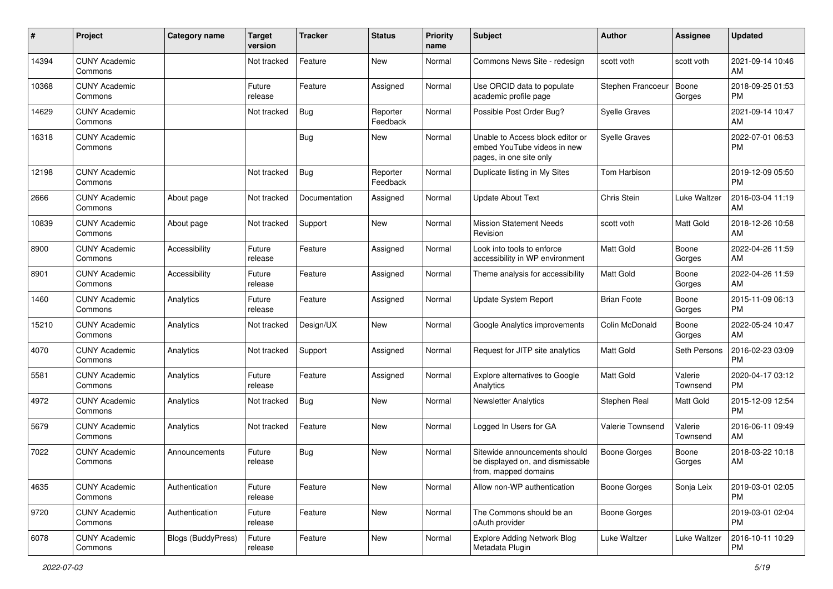| $\#$  | Project                         | <b>Category name</b> | <b>Target</b><br>version | <b>Tracker</b> | <b>Status</b>        | <b>Priority</b><br>name | <b>Subject</b>                                                                             | Author               | <b>Assignee</b>     | <b>Updated</b>                |
|-------|---------------------------------|----------------------|--------------------------|----------------|----------------------|-------------------------|--------------------------------------------------------------------------------------------|----------------------|---------------------|-------------------------------|
| 14394 | <b>CUNY Academic</b><br>Commons |                      | Not tracked              | Feature        | <b>New</b>           | Normal                  | Commons News Site - redesign                                                               | scott voth           | scott voth          | 2021-09-14 10:46<br>AM        |
| 10368 | <b>CUNY Academic</b><br>Commons |                      | Future<br>release        | Feature        | Assigned             | Normal                  | Use ORCID data to populate<br>academic profile page                                        | Stephen Francoeur    | Boone<br>Gorges     | 2018-09-25 01:53<br><b>PM</b> |
| 14629 | <b>CUNY Academic</b><br>Commons |                      | Not tracked              | Bug            | Reporter<br>Feedback | Normal                  | Possible Post Order Bug?                                                                   | <b>Syelle Graves</b> |                     | 2021-09-14 10:47<br>AM        |
| 16318 | <b>CUNY Academic</b><br>Commons |                      |                          | Bug            | New                  | Normal                  | Unable to Access block editor or<br>embed YouTube videos in new<br>pages, in one site only | <b>Syelle Graves</b> |                     | 2022-07-01 06:53<br><b>PM</b> |
| 12198 | <b>CUNY Academic</b><br>Commons |                      | Not tracked              | Bug            | Reporter<br>Feedback | Normal                  | Duplicate listing in My Sites                                                              | <b>Tom Harbison</b>  |                     | 2019-12-09 05:50<br><b>PM</b> |
| 2666  | <b>CUNY Academic</b><br>Commons | About page           | Not tracked              | Documentation  | Assigned             | Normal                  | Update About Text                                                                          | Chris Stein          | Luke Waltzer        | 2016-03-04 11:19<br>AM        |
| 10839 | <b>CUNY Academic</b><br>Commons | About page           | Not tracked              | Support        | New                  | Normal                  | <b>Mission Statement Needs</b><br>Revision                                                 | scott voth           | Matt Gold           | 2018-12-26 10:58<br>AM        |
| 8900  | <b>CUNY Academic</b><br>Commons | Accessibility        | Future<br>release        | Feature        | Assigned             | Normal                  | Look into tools to enforce<br>accessibility in WP environment                              | Matt Gold            | Boone<br>Gorges     | 2022-04-26 11:59<br>AM        |
| 8901  | <b>CUNY Academic</b><br>Commons | Accessibility        | Future<br>release        | Feature        | Assigned             | Normal                  | Theme analysis for accessibility                                                           | <b>Matt Gold</b>     | Boone<br>Gorges     | 2022-04-26 11:59<br>AM        |
| 1460  | <b>CUNY Academic</b><br>Commons | Analytics            | Future<br>release        | Feature        | Assigned             | Normal                  | Update System Report                                                                       | <b>Brian Foote</b>   | Boone<br>Gorges     | 2015-11-09 06:13<br><b>PM</b> |
| 15210 | <b>CUNY Academic</b><br>Commons | Analytics            | Not tracked              | Design/UX      | <b>New</b>           | Normal                  | Google Analytics improvements                                                              | Colin McDonald       | Boone<br>Gorges     | 2022-05-24 10:47<br>AM        |
| 4070  | <b>CUNY Academic</b><br>Commons | Analytics            | Not tracked              | Support        | Assigned             | Normal                  | Request for JITP site analytics                                                            | Matt Gold            | Seth Persons        | 2016-02-23 03:09<br><b>PM</b> |
| 5581  | <b>CUNY Academic</b><br>Commons | Analytics            | Future<br>release        | Feature        | Assigned             | Normal                  | Explore alternatives to Google<br>Analytics                                                | Matt Gold            | Valerie<br>Townsend | 2020-04-17 03:12<br><b>PM</b> |
| 4972  | <b>CUNY Academic</b><br>Commons | Analytics            | Not tracked              | Bug            | New                  | Normal                  | <b>Newsletter Analytics</b>                                                                | Stephen Real         | Matt Gold           | 2015-12-09 12:54<br><b>PM</b> |
| 5679  | <b>CUNY Academic</b><br>Commons | Analytics            | Not tracked              | Feature        | New                  | Normal                  | Logged In Users for GA                                                                     | Valerie Townsend     | Valerie<br>Townsend | 2016-06-11 09:49<br>AM        |
| 7022  | <b>CUNY Academic</b><br>Commons | Announcements        | Future<br>release        | Bug            | <b>New</b>           | Normal                  | Sitewide announcements should<br>be displayed on, and dismissable<br>from, mapped domains  | <b>Boone Gorges</b>  | Boone<br>Gorges     | 2018-03-22 10:18<br>AM        |
| 4635  | <b>CUNY Academic</b><br>Commons | Authentication       | Future<br>release        | Feature        | New                  | Normal                  | Allow non-WP authentication                                                                | Boone Gorges         | Sonja Leix          | 2019-03-01 02:05<br>PM.       |
| 9720  | <b>CUNY Academic</b><br>Commons | Authentication       | Future<br>release        | Feature        | New                  | Normal                  | The Commons should be an<br>oAuth provider                                                 | <b>Boone Gorges</b>  |                     | 2019-03-01 02:04<br><b>PM</b> |
| 6078  | <b>CUNY Academic</b><br>Commons | Blogs (BuddyPress)   | Future<br>release        | Feature        | New                  | Normal                  | Explore Adding Network Blog<br>Metadata Plugin                                             | Luke Waltzer         | Luke Waltzer        | 2016-10-11 10:29<br><b>PM</b> |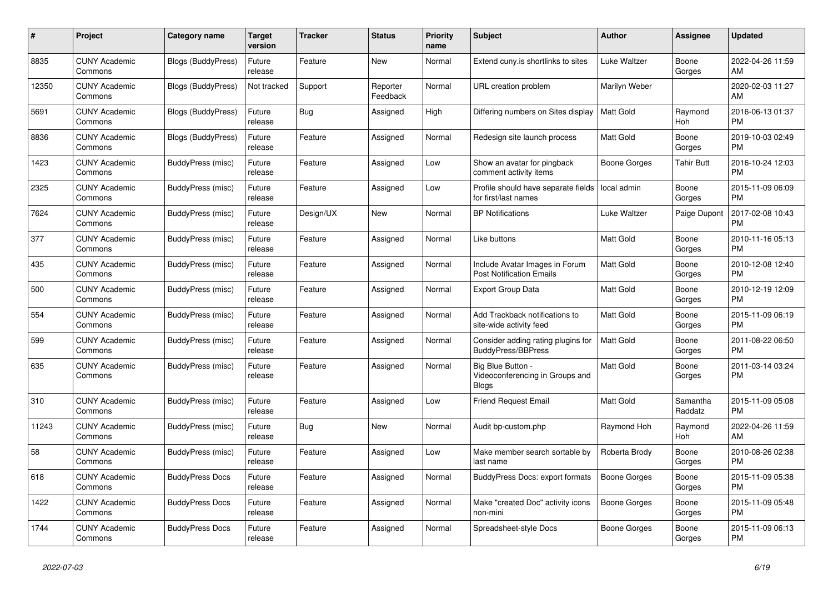| #     | Project                         | <b>Category name</b>      | <b>Target</b><br>version | <b>Tracker</b> | <b>Status</b>        | <b>Priority</b><br>name | <b>Subject</b>                                                            | <b>Author</b>    | Assignee            | <b>Updated</b>                |
|-------|---------------------------------|---------------------------|--------------------------|----------------|----------------------|-------------------------|---------------------------------------------------------------------------|------------------|---------------------|-------------------------------|
| 8835  | <b>CUNY Academic</b><br>Commons | <b>Blogs (BuddyPress)</b> | Future<br>release        | Feature        | <b>New</b>           | Normal                  | Extend cuny is shortlinks to sites                                        | Luke Waltzer     | Boone<br>Gorges     | 2022-04-26 11:59<br>AM        |
| 12350 | <b>CUNY Academic</b><br>Commons | Blogs (BuddyPress)        | Not tracked              | Support        | Reporter<br>Feedback | Normal                  | URL creation problem                                                      | Marilyn Weber    |                     | 2020-02-03 11:27<br>AM        |
| 5691  | <b>CUNY Academic</b><br>Commons | <b>Blogs (BuddyPress)</b> | Future<br>release        | Bug            | Assigned             | High                    | Differing numbers on Sites display                                        | <b>Matt Gold</b> | Raymond<br>Hoh      | 2016-06-13 01:37<br><b>PM</b> |
| 8836  | <b>CUNY Academic</b><br>Commons | <b>Blogs (BuddyPress)</b> | Future<br>release        | Feature        | Assigned             | Normal                  | Redesign site launch process                                              | <b>Matt Gold</b> | Boone<br>Gorges     | 2019-10-03 02:49<br><b>PM</b> |
| 1423  | <b>CUNY Academic</b><br>Commons | BuddyPress (misc)         | Future<br>release        | Feature        | Assigned             | Low                     | Show an avatar for pingback<br>comment activity items                     | Boone Gorges     | <b>Tahir Butt</b>   | 2016-10-24 12:03<br><b>PM</b> |
| 2325  | <b>CUNY Academic</b><br>Commons | BuddyPress (misc)         | Future<br>release        | Feature        | Assigned             | Low                     | Profile should have separate fields<br>for first/last names               | local admin      | Boone<br>Gorges     | 2015-11-09 06:09<br><b>PM</b> |
| 7624  | <b>CUNY Academic</b><br>Commons | BuddyPress (misc)         | Future<br>release        | Design/UX      | <b>New</b>           | Normal                  | <b>BP</b> Notifications                                                   | Luke Waltzer     | Paige Dupont        | 2017-02-08 10:43<br><b>PM</b> |
| 377   | <b>CUNY Academic</b><br>Commons | BuddyPress (misc)         | Future<br>release        | Feature        | Assigned             | Normal                  | Like buttons                                                              | <b>Matt Gold</b> | Boone<br>Gorges     | 2010-11-16 05:13<br><b>PM</b> |
| 435   | <b>CUNY Academic</b><br>Commons | BuddyPress (misc)         | Future<br>release        | Feature        | Assigned             | Normal                  | Include Avatar Images in Forum<br><b>Post Notification Emails</b>         | <b>Matt Gold</b> | Boone<br>Gorges     | 2010-12-08 12:40<br><b>PM</b> |
| 500   | <b>CUNY Academic</b><br>Commons | BuddyPress (misc)         | Future<br>release        | Feature        | Assigned             | Normal                  | <b>Export Group Data</b>                                                  | <b>Matt Gold</b> | Boone<br>Gorges     | 2010-12-19 12:09<br><b>PM</b> |
| 554   | <b>CUNY Academic</b><br>Commons | BuddyPress (misc)         | Future<br>release        | Feature        | Assigned             | Normal                  | Add Trackback notifications to<br>site-wide activity feed                 | Matt Gold        | Boone<br>Gorges     | 2015-11-09 06:19<br><b>PM</b> |
| 599   | <b>CUNY Academic</b><br>Commons | BuddyPress (misc)         | Future<br>release        | Feature        | Assigned             | Normal                  | Consider adding rating plugins for<br><b>BuddyPress/BBPress</b>           | <b>Matt Gold</b> | Boone<br>Gorges     | 2011-08-22 06:50<br><b>PM</b> |
| 635   | <b>CUNY Academic</b><br>Commons | BuddyPress (misc)         | Future<br>release        | Feature        | Assigned             | Normal                  | <b>Big Blue Button</b><br>Videoconferencing in Groups and<br><b>Blogs</b> | Matt Gold        | Boone<br>Gorges     | 2011-03-14 03:24<br><b>PM</b> |
| 310   | <b>CUNY Academic</b><br>Commons | BuddyPress (misc)         | Future<br>release        | Feature        | Assigned             | Low                     | <b>Friend Request Email</b>                                               | Matt Gold        | Samantha<br>Raddatz | 2015-11-09 05:08<br><b>PM</b> |
| 11243 | <b>CUNY Academic</b><br>Commons | BuddyPress (misc)         | Future<br>release        | Bug            | New                  | Normal                  | Audit bp-custom.php                                                       | Raymond Hoh      | Raymond<br>Hoh      | 2022-04-26 11:59<br>AM        |
| 58    | <b>CUNY Academic</b><br>Commons | BuddyPress (misc)         | Future<br>release        | Feature        | Assigned             | Low                     | Make member search sortable by<br>last name                               | Roberta Brody    | Boone<br>Gorges     | 2010-08-26 02:38<br><b>PM</b> |
| 618   | <b>CUNY Academic</b><br>Commons | <b>BuddyPress Docs</b>    | Future<br>release        | Feature        | Assigned             | Normal                  | <b>BuddyPress Docs: export formats</b>                                    | Boone Gorges     | Boone<br>Gorges     | 2015-11-09 05:38<br><b>PM</b> |
| 1422  | <b>CUNY Academic</b><br>Commons | <b>BuddyPress Docs</b>    | Future<br>release        | Feature        | Assigned             | Normal                  | Make "created Doc" activity icons<br>non-mini                             | Boone Gorges     | Boone<br>Gorges     | 2015-11-09 05:48<br><b>PM</b> |
| 1744  | <b>CUNY Academic</b><br>Commons | <b>BuddyPress Docs</b>    | Future<br>release        | Feature        | Assigned             | Normal                  | Spreadsheet-style Docs                                                    | Boone Gorges     | Boone<br>Gorges     | 2015-11-09 06:13<br><b>PM</b> |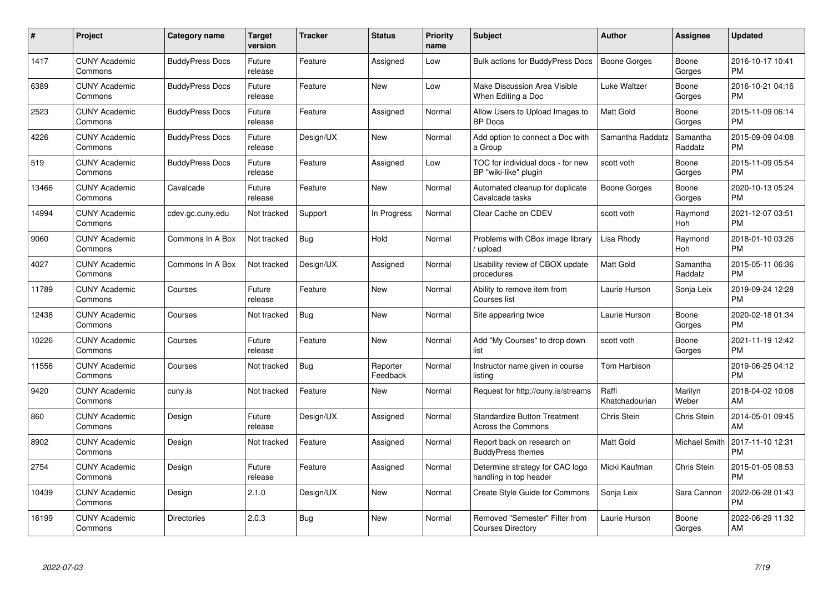| $\#$  | Project                         | <b>Category name</b>   | Target<br>version | <b>Tracker</b> | <b>Status</b>        | Priority<br>name | <b>Subject</b>                                                   | <b>Author</b>           | <b>Assignee</b>     | <b>Updated</b>                |
|-------|---------------------------------|------------------------|-------------------|----------------|----------------------|------------------|------------------------------------------------------------------|-------------------------|---------------------|-------------------------------|
| 1417  | <b>CUNY Academic</b><br>Commons | <b>BuddyPress Docs</b> | Future<br>release | Feature        | Assigned             | Low              | <b>Bulk actions for BuddyPress Docs</b>                          | <b>Boone Gorges</b>     | Boone<br>Gorges     | 2016-10-17 10:41<br><b>PM</b> |
| 6389  | <b>CUNY Academic</b><br>Commons | <b>BuddyPress Docs</b> | Future<br>release | Feature        | New                  | Low              | Make Discussion Area Visible<br>When Editing a Doc               | Luke Waltzer            | Boone<br>Gorges     | 2016-10-21 04:16<br><b>PM</b> |
| 2523  | <b>CUNY Academic</b><br>Commons | <b>BuddyPress Docs</b> | Future<br>release | Feature        | Assigned             | Normal           | Allow Users to Upload Images to<br><b>BP</b> Docs                | <b>Matt Gold</b>        | Boone<br>Gorges     | 2015-11-09 06:14<br><b>PM</b> |
| 4226  | <b>CUNY Academic</b><br>Commons | <b>BuddyPress Docs</b> | Future<br>release | Design/UX      | <b>New</b>           | Normal           | Add option to connect a Doc with<br>a Group                      | Samantha Raddatz        | Samantha<br>Raddatz | 2015-09-09 04:08<br><b>PM</b> |
| 519   | <b>CUNY Academic</b><br>Commons | <b>BuddyPress Docs</b> | Future<br>release | Feature        | Assigned             | Low              | TOC for individual docs - for new<br>BP "wiki-like" plugin       | scott voth              | Boone<br>Gorges     | 2015-11-09 05:54<br><b>PM</b> |
| 13466 | <b>CUNY Academic</b><br>Commons | Cavalcade              | Future<br>release | Feature        | <b>New</b>           | Normal           | Automated cleanup for duplicate<br>Cavalcade tasks               | Boone Gorges            | Boone<br>Gorges     | 2020-10-13 05:24<br><b>PM</b> |
| 14994 | <b>CUNY Academic</b><br>Commons | cdev.gc.cuny.edu       | Not tracked       | Support        | In Progress          | Normal           | Clear Cache on CDEV                                              | scott voth              | Raymond<br>Hoh      | 2021-12-07 03:51<br><b>PM</b> |
| 9060  | <b>CUNY Academic</b><br>Commons | Commons In A Box       | Not tracked       | Bug            | Hold                 | Normal           | Problems with CBox image library<br>/ upload                     | Lisa Rhody              | Raymond<br>Hoh      | 2018-01-10 03:26<br><b>PM</b> |
| 4027  | <b>CUNY Academic</b><br>Commons | Commons In A Box       | Not tracked       | Design/UX      | Assigned             | Normal           | Usability review of CBOX update<br>procedures                    | Matt Gold               | Samantha<br>Raddatz | 2015-05-11 06:36<br><b>PM</b> |
| 11789 | <b>CUNY Academic</b><br>Commons | Courses                | Future<br>release | Feature        | <b>New</b>           | Normal           | Ability to remove item from<br>Courses list                      | Laurie Hurson           | Sonja Leix          | 2019-09-24 12:28<br><b>PM</b> |
| 12438 | <b>CUNY Academic</b><br>Commons | Courses                | Not tracked       | <b>Bug</b>     | <b>New</b>           | Normal           | Site appearing twice                                             | Laurie Hurson           | Boone<br>Gorges     | 2020-02-18 01:34<br><b>PM</b> |
| 10226 | <b>CUNY Academic</b><br>Commons | Courses                | Future<br>release | Feature        | <b>New</b>           | Normal           | Add "My Courses" to drop down<br>list                            | scott voth              | Boone<br>Gorges     | 2021-11-19 12:42<br><b>PM</b> |
| 11556 | <b>CUNY Academic</b><br>Commons | Courses                | Not tracked       | Bug            | Reporter<br>Feedback | Normal           | Instructor name given in course<br>listina                       | Tom Harbison            |                     | 2019-06-25 04:12<br><b>PM</b> |
| 9420  | <b>CUNY Academic</b><br>Commons | cuny.is                | Not tracked       | Feature        | New                  | Normal           | Request for http://cuny.is/streams                               | Raffi<br>Khatchadourian | Marilyn<br>Weber    | 2018-04-02 10:08<br>AM        |
| 860   | <b>CUNY Academic</b><br>Commons | Design                 | Future<br>release | Design/UX      | Assigned             | Normal           | <b>Standardize Button Treatment</b><br><b>Across the Commons</b> | Chris Stein             | Chris Stein         | 2014-05-01 09:45<br>AM        |
| 8902  | <b>CUNY Academic</b><br>Commons | Design                 | Not tracked       | Feature        | Assigned             | Normal           | Report back on research on<br><b>BuddyPress themes</b>           | <b>Matt Gold</b>        | Michael Smith       | 2017-11-10 12:31<br><b>PM</b> |
| 2754  | <b>CUNY Academic</b><br>Commons | Design                 | Future<br>release | Feature        | Assigned             | Normal           | Determine strategy for CAC logo<br>handling in top header        | Micki Kaufman           | Chris Stein         | 2015-01-05 08:53<br><b>PM</b> |
| 10439 | <b>CUNY Academic</b><br>Commons | Design                 | 2.1.0             | Design/UX      | <b>New</b>           | Normal           | Create Style Guide for Commons                                   | Sonja Leix              | Sara Cannon         | 2022-06-28 01:43<br><b>PM</b> |
| 16199 | <b>CUNY Academic</b><br>Commons | <b>Directories</b>     | 2.0.3             | <b>Bug</b>     | New                  | Normal           | Removed "Semester" Filter from<br><b>Courses Directory</b>       | Laurie Hurson           | Boone<br>Gorges     | 2022-06-29 11:32<br>AM        |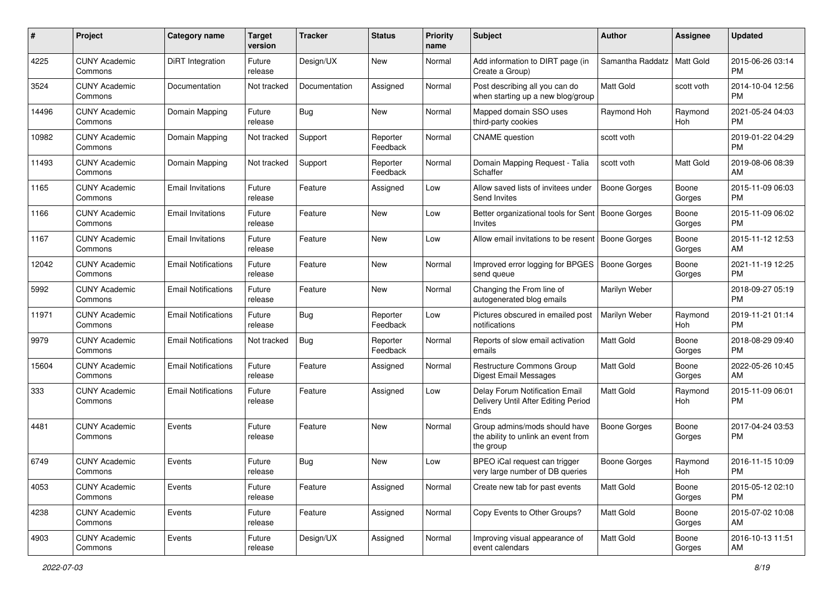| #     | Project                         | <b>Category name</b>       | <b>Target</b><br>version | <b>Tracker</b> | <b>Status</b>        | <b>Priority</b><br>name | Subject                                                                           | <b>Author</b>    | <b>Assignee</b>  | <b>Updated</b>                |
|-------|---------------------------------|----------------------------|--------------------------|----------------|----------------------|-------------------------|-----------------------------------------------------------------------------------|------------------|------------------|-------------------------------|
| 4225  | <b>CUNY Academic</b><br>Commons | <b>DiRT</b> Integration    | Future<br>release        | Design/UX      | New                  | Normal                  | Add information to DIRT page (in<br>Create a Group)                               | Samantha Raddatz | <b>Matt Gold</b> | 2015-06-26 03:14<br><b>PM</b> |
| 3524  | <b>CUNY Academic</b><br>Commons | Documentation              | Not tracked              | Documentation  | Assigned             | Normal                  | Post describing all you can do<br>when starting up a new blog/group               | Matt Gold        | scott voth       | 2014-10-04 12:56<br><b>PM</b> |
| 14496 | <b>CUNY Academic</b><br>Commons | Domain Mapping             | Future<br>release        | Bug            | New                  | Normal                  | Mapped domain SSO uses<br>third-party cookies                                     | Raymond Hoh      | Raymond<br>Hoh   | 2021-05-24 04:03<br><b>PM</b> |
| 10982 | <b>CUNY Academic</b><br>Commons | Domain Mapping             | Not tracked              | Support        | Reporter<br>Feedback | Normal                  | <b>CNAME</b> question                                                             | scott voth       |                  | 2019-01-22 04:29<br>PM.       |
| 11493 | <b>CUNY Academic</b><br>Commons | Domain Mapping             | Not tracked              | Support        | Reporter<br>Feedback | Normal                  | Domain Mapping Request - Talia<br>Schaffer                                        | scott voth       | Matt Gold        | 2019-08-06 08:39<br>AM        |
| 1165  | <b>CUNY Academic</b><br>Commons | <b>Email Invitations</b>   | Future<br>release        | Feature        | Assigned             | Low                     | Allow saved lists of invitees under<br>Send Invites                               | Boone Gorges     | Boone<br>Gorges  | 2015-11-09 06:03<br>PM.       |
| 1166  | <b>CUNY Academic</b><br>Commons | <b>Email Invitations</b>   | Future<br>release        | Feature        | New                  | Low                     | Better organizational tools for Sent   Boone Gorges<br>Invites                    |                  | Boone<br>Gorges  | 2015-11-09 06:02<br>PM.       |
| 1167  | <b>CUNY Academic</b><br>Commons | <b>Email Invitations</b>   | Future<br>release        | Feature        | New                  | Low                     | Allow email invitations to be resent                                              | Boone Gorges     | Boone<br>Gorges  | 2015-11-12 12:53<br>AM.       |
| 12042 | <b>CUNY Academic</b><br>Commons | <b>Email Notifications</b> | Future<br>release        | Feature        | New                  | Normal                  | Improved error logging for BPGES   Boone Gorges<br>send queue                     |                  | Boone<br>Gorges  | 2021-11-19 12:25<br><b>PM</b> |
| 5992  | <b>CUNY Academic</b><br>Commons | <b>Email Notifications</b> | Future<br>release        | Feature        | New                  | Normal                  | Changing the From line of<br>autogenerated blog emails                            | Marilyn Weber    |                  | 2018-09-27 05:19<br><b>PM</b> |
| 11971 | <b>CUNY Academic</b><br>Commons | <b>Email Notifications</b> | Future<br>release        | Bug            | Reporter<br>Feedback | Low                     | Pictures obscured in emailed post<br>notifications                                | Marilyn Weber    | Raymond<br>Hoh   | 2019-11-21 01:14<br><b>PM</b> |
| 9979  | <b>CUNY Academic</b><br>Commons | <b>Email Notifications</b> | Not tracked              | Bug            | Reporter<br>Feedback | Normal                  | Reports of slow email activation<br>emails                                        | Matt Gold        | Boone<br>Gorges  | 2018-08-29 09:40<br><b>PM</b> |
| 15604 | <b>CUNY Academic</b><br>Commons | <b>Email Notifications</b> | Future<br>release        | Feature        | Assigned             | Normal                  | Restructure Commons Group<br>Digest Email Messages                                | <b>Matt Gold</b> | Boone<br>Gorges  | 2022-05-26 10:45<br>AM.       |
| 333   | <b>CUNY Academic</b><br>Commons | <b>Email Notifications</b> | Future<br>release        | Feature        | Assigned             | Low                     | Delay Forum Notification Email<br>Delivery Until After Editing Period<br>Ends     | <b>Matt Gold</b> | Raymond<br>Hoh   | 2015-11-09 06:01<br>PM        |
| 4481  | <b>CUNY Academic</b><br>Commons | Events                     | Future<br>release        | Feature        | New                  | Normal                  | Group admins/mods should have<br>the ability to unlink an event from<br>the group | Boone Gorges     | Boone<br>Gorges  | 2017-04-24 03:53<br><b>PM</b> |
| 6749  | <b>CUNY Academic</b><br>Commons | Events                     | Future<br>release        | Bug            | New                  | Low                     | BPEO iCal request can trigger<br>very large number of DB queries                  | Boone Gorges     | Raymond<br>Hoh   | 2016-11-15 10:09<br>PM        |
| 4053  | <b>CUNY Academic</b><br>Commons | Events                     | Future<br>release        | Feature        | Assigned             | Normal                  | Create new tab for past events                                                    | Matt Gold        | Boone<br>Gorges  | 2015-05-12 02:10<br>PM.       |
| 4238  | <b>CUNY Academic</b><br>Commons | Events                     | Future<br>release        | Feature        | Assigned             | Normal                  | Copy Events to Other Groups?                                                      | Matt Gold        | Boone<br>Gorges  | 2015-07-02 10:08<br>AM        |
| 4903  | <b>CUNY Academic</b><br>Commons | Events                     | Future<br>release        | Design/UX      | Assigned             | Normal                  | Improving visual appearance of<br>event calendars                                 | Matt Gold        | Boone<br>Gorges  | 2016-10-13 11:51<br>AM        |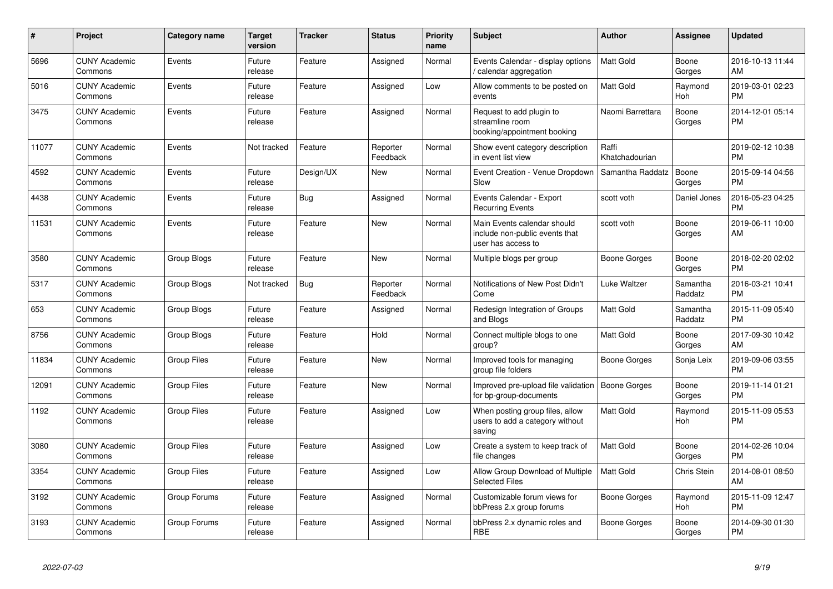| #     | <b>Project</b>                  | <b>Category name</b> | <b>Target</b><br>version | <b>Tracker</b> | <b>Status</b>        | <b>Priority</b><br>name | <b>Subject</b>                                                                      | <b>Author</b>           | Assignee              | <b>Updated</b>                |
|-------|---------------------------------|----------------------|--------------------------|----------------|----------------------|-------------------------|-------------------------------------------------------------------------------------|-------------------------|-----------------------|-------------------------------|
| 5696  | <b>CUNY Academic</b><br>Commons | Events               | Future<br>release        | Feature        | Assigned             | Normal                  | Events Calendar - display options<br>/ calendar aggregation                         | <b>Matt Gold</b>        | Boone<br>Gorges       | 2016-10-13 11:44<br>AM        |
| 5016  | <b>CUNY Academic</b><br>Commons | Events               | Future<br>release        | Feature        | Assigned             | Low                     | Allow comments to be posted on<br>events                                            | <b>Matt Gold</b>        | Raymond<br><b>Hoh</b> | 2019-03-01 02:23<br><b>PM</b> |
| 3475  | <b>CUNY Academic</b><br>Commons | Events               | Future<br>release        | Feature        | Assigned             | Normal                  | Request to add plugin to<br>streamline room<br>booking/appointment booking          | Naomi Barrettara        | Boone<br>Gorges       | 2014-12-01 05:14<br>PM        |
| 11077 | <b>CUNY Academic</b><br>Commons | Events               | Not tracked              | Feature        | Reporter<br>Feedback | Normal                  | Show event category description<br>in event list view                               | Raffi<br>Khatchadourian |                       | 2019-02-12 10:38<br>PM        |
| 4592  | <b>CUNY Academic</b><br>Commons | Events               | Future<br>release        | Design/UX      | New                  | Normal                  | Event Creation - Venue Dropdown<br>Slow                                             | Samantha Raddatz        | Boone<br>Gorges       | 2015-09-14 04:56<br><b>PM</b> |
| 4438  | <b>CUNY Academic</b><br>Commons | Events               | Future<br>release        | Bug            | Assigned             | Normal                  | Events Calendar - Export<br><b>Recurring Events</b>                                 | scott voth              | Daniel Jones          | 2016-05-23 04:25<br>PM        |
| 11531 | <b>CUNY Academic</b><br>Commons | Events               | Future<br>release        | Feature        | <b>New</b>           | Normal                  | Main Events calendar should<br>include non-public events that<br>user has access to | scott voth              | Boone<br>Gorges       | 2019-06-11 10:00<br>AM        |
| 3580  | <b>CUNY Academic</b><br>Commons | Group Blogs          | Future<br>release        | Feature        | New                  | Normal                  | Multiple blogs per group                                                            | Boone Gorges            | Boone<br>Gorges       | 2018-02-20 02:02<br>PM        |
| 5317  | <b>CUNY Academic</b><br>Commons | Group Blogs          | Not tracked              | Bug            | Reporter<br>Feedback | Normal                  | Notifications of New Post Didn't<br>Come                                            | Luke Waltzer            | Samantha<br>Raddatz   | 2016-03-21 10:41<br>PM        |
| 653   | <b>CUNY Academic</b><br>Commons | Group Blogs          | Future<br>release        | Feature        | Assigned             | Normal                  | Redesign Integration of Groups<br>and Blogs                                         | Matt Gold               | Samantha<br>Raddatz   | 2015-11-09 05:40<br><b>PM</b> |
| 8756  | <b>CUNY Academic</b><br>Commons | Group Blogs          | Future<br>release        | Feature        | Hold                 | Normal                  | Connect multiple blogs to one<br>group?                                             | Matt Gold               | Boone<br>Gorges       | 2017-09-30 10:42<br>AM        |
| 11834 | <b>CUNY Academic</b><br>Commons | <b>Group Files</b>   | Future<br>release        | Feature        | <b>New</b>           | Normal                  | Improved tools for managing<br>group file folders                                   | <b>Boone Gorges</b>     | Sonja Leix            | 2019-09-06 03:55<br><b>PM</b> |
| 12091 | <b>CUNY Academic</b><br>Commons | <b>Group Files</b>   | Future<br>release        | Feature        | <b>New</b>           | Normal                  | Improved pre-upload file validation<br>for bp-group-documents                       | Boone Gorges            | Boone<br>Gorges       | 2019-11-14 01:21<br><b>PM</b> |
| 1192  | <b>CUNY Academic</b><br>Commons | <b>Group Files</b>   | Future<br>release        | Feature        | Assigned             | Low                     | When posting group files, allow<br>users to add a category without<br>saving        | Matt Gold               | Raymond<br>Hoh        | 2015-11-09 05:53<br><b>PM</b> |
| 3080  | <b>CUNY Academic</b><br>Commons | <b>Group Files</b>   | Future<br>release        | Feature        | Assigned             | Low                     | Create a system to keep track of<br>file changes                                    | <b>Matt Gold</b>        | Boone<br>Gorges       | 2014-02-26 10:04<br><b>PM</b> |
| 3354  | <b>CUNY Academic</b><br>Commons | <b>Group Files</b>   | Future<br>release        | Feature        | Assigned             | Low                     | Allow Group Download of Multiple<br><b>Selected Files</b>                           | <b>Matt Gold</b>        | Chris Stein           | 2014-08-01 08:50<br>AM        |
| 3192  | <b>CUNY Academic</b><br>Commons | Group Forums         | Future<br>release        | Feature        | Assigned             | Normal                  | Customizable forum views for<br>bbPress 2.x group forums                            | <b>Boone Gorges</b>     | Raymond<br><b>Hoh</b> | 2015-11-09 12:47<br><b>PM</b> |
| 3193  | <b>CUNY Academic</b><br>Commons | Group Forums         | Future<br>release        | Feature        | Assigned             | Normal                  | bbPress 2.x dynamic roles and<br><b>RBE</b>                                         | Boone Gorges            | Boone<br>Gorges       | 2014-09-30 01:30<br><b>PM</b> |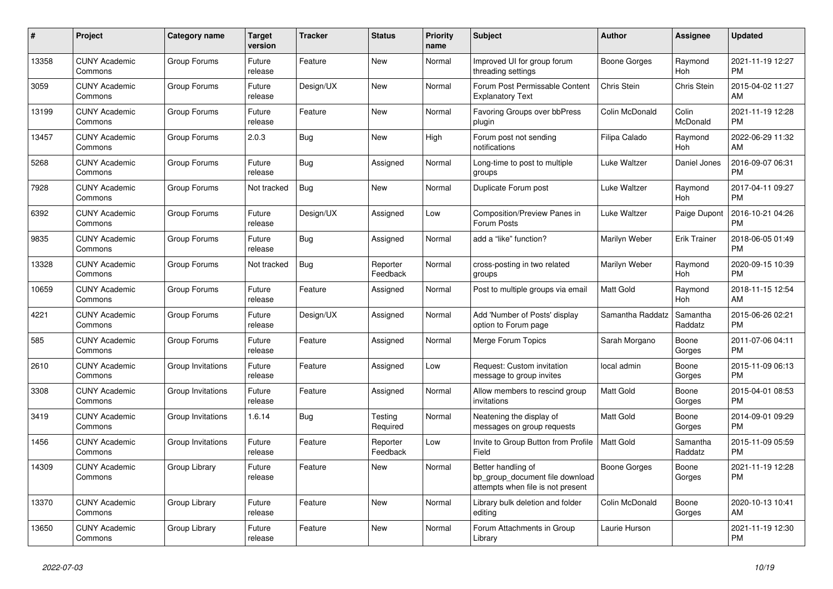| #     | Project                         | Category name     | Target<br>version | Tracker    | <b>Status</b>        | <b>Priority</b><br>name | <b>Subject</b>                                                                             | <b>Author</b>       | Assignee              | <b>Updated</b>                |
|-------|---------------------------------|-------------------|-------------------|------------|----------------------|-------------------------|--------------------------------------------------------------------------------------------|---------------------|-----------------------|-------------------------------|
| 13358 | <b>CUNY Academic</b><br>Commons | Group Forums      | Future<br>release | Feature    | New                  | Normal                  | Improved UI for group forum<br>threading settings                                          | Boone Gorges        | Raymond<br><b>Hoh</b> | 2021-11-19 12:27<br><b>PM</b> |
| 3059  | <b>CUNY Academic</b><br>Commons | Group Forums      | Future<br>release | Design/UX  | New                  | Normal                  | Forum Post Permissable Content<br><b>Explanatory Text</b>                                  | Chris Stein         | <b>Chris Stein</b>    | 2015-04-02 11:27<br>AM        |
| 13199 | <b>CUNY Academic</b><br>Commons | Group Forums      | Future<br>release | Feature    | New                  | Normal                  | Favoring Groups over bbPress<br>plugin                                                     | Colin McDonald      | Colin<br>McDonald     | 2021-11-19 12:28<br><b>PM</b> |
| 13457 | <b>CUNY Academic</b><br>Commons | Group Forums      | 2.0.3             | Bug        | New                  | High                    | Forum post not sending<br>notifications                                                    | Filipa Calado       | Raymond<br>Hoh        | 2022-06-29 11:32<br>AM        |
| 5268  | <b>CUNY Academic</b><br>Commons | Group Forums      | Future<br>release | <b>Bug</b> | Assigned             | Normal                  | Long-time to post to multiple<br>groups                                                    | Luke Waltzer        | Daniel Jones          | 2016-09-07 06:31<br><b>PM</b> |
| 7928  | <b>CUNY Academic</b><br>Commons | Group Forums      | Not tracked       | Bug        | New                  | Normal                  | Duplicate Forum post                                                                       | Luke Waltzer        | Raymond<br>Hoh        | 2017-04-11 09:27<br><b>PM</b> |
| 6392  | <b>CUNY Academic</b><br>Commons | Group Forums      | Future<br>release | Design/UX  | Assigned             | Low                     | <b>Composition/Preview Panes in</b><br>Forum Posts                                         | Luke Waltzer        | Paige Dupont          | 2016-10-21 04:26<br><b>PM</b> |
| 9835  | <b>CUNY Academic</b><br>Commons | Group Forums      | Future<br>release | <b>Bug</b> | Assigned             | Normal                  | add a "like" function?                                                                     | Marilyn Weber       | <b>Erik Trainer</b>   | 2018-06-05 01:49<br><b>PM</b> |
| 13328 | <b>CUNY Academic</b><br>Commons | Group Forums      | Not tracked       | <b>Bug</b> | Reporter<br>Feedback | Normal                  | cross-posting in two related<br>groups                                                     | Marilyn Weber       | Raymond<br>Hoh        | 2020-09-15 10:39<br><b>PM</b> |
| 10659 | <b>CUNY Academic</b><br>Commons | Group Forums      | Future<br>release | Feature    | Assigned             | Normal                  | Post to multiple groups via email                                                          | Matt Gold           | Raymond<br>Hoh        | 2018-11-15 12:54<br>AM        |
| 4221  | <b>CUNY Academic</b><br>Commons | Group Forums      | Future<br>release | Design/UX  | Assigned             | Normal                  | Add 'Number of Posts' display<br>option to Forum page                                      | Samantha Raddatz    | Samantha<br>Raddatz   | 2015-06-26 02:21<br><b>PM</b> |
| 585   | <b>CUNY Academic</b><br>Commons | Group Forums      | Future<br>release | Feature    | Assigned             | Normal                  | Merge Forum Topics                                                                         | Sarah Morgano       | Boone<br>Gorges       | 2011-07-06 04:11<br><b>PM</b> |
| 2610  | <b>CUNY Academic</b><br>Commons | Group Invitations | Future<br>release | Feature    | Assigned             | Low                     | Request: Custom invitation<br>message to group invites                                     | local admin         | Boone<br>Gorges       | 2015-11-09 06:13<br><b>PM</b> |
| 3308  | <b>CUNY Academic</b><br>Commons | Group Invitations | Future<br>release | Feature    | Assigned             | Normal                  | Allow members to rescind group<br>invitations                                              | Matt Gold           | Boone<br>Gorges       | 2015-04-01 08:53<br><b>PM</b> |
| 3419  | <b>CUNY Academic</b><br>Commons | Group Invitations | 1.6.14            | Bug        | Testing<br>Required  | Normal                  | Neatening the display of<br>messages on group requests                                     | Matt Gold           | Boone<br>Gorges       | 2014-09-01 09:29<br><b>PM</b> |
| 1456  | <b>CUNY Academic</b><br>Commons | Group Invitations | Future<br>release | Feature    | Reporter<br>Feedback | Low                     | Invite to Group Button from Profile<br>Field                                               | <b>Matt Gold</b>    | Samantha<br>Raddatz   | 2015-11-09 05:59<br><b>PM</b> |
| 14309 | <b>CUNY Academic</b><br>Commons | Group Library     | Future<br>release | Feature    | New                  | Normal                  | Better handling of<br>bp_group_document file download<br>attempts when file is not present | <b>Boone Gorges</b> | Boone<br>Gorges       | 2021-11-19 12:28<br><b>PM</b> |
| 13370 | <b>CUNY Academic</b><br>Commons | Group Library     | Future<br>release | Feature    | New                  | Normal                  | Library bulk deletion and folder<br>editing                                                | Colin McDonald      | Boone<br>Gorges       | 2020-10-13 10:41<br>AM        |
| 13650 | <b>CUNY Academic</b><br>Commons | Group Library     | Future<br>release | Feature    | <b>New</b>           | Normal                  | Forum Attachments in Group<br>Library                                                      | Laurie Hurson       |                       | 2021-11-19 12:30<br><b>PM</b> |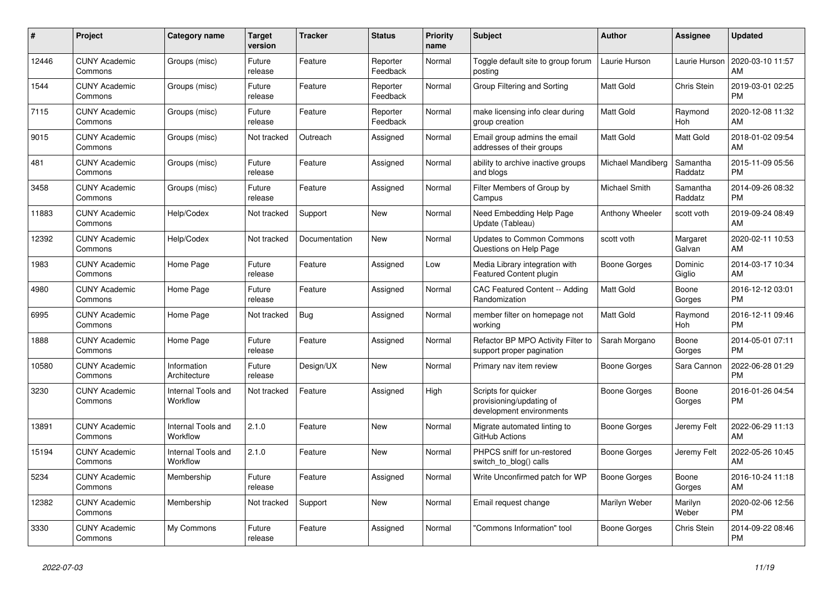| #     | Project                         | <b>Category name</b>           | <b>Target</b><br>version | <b>Tracker</b> | <b>Status</b>        | <b>Priority</b><br>name | <b>Subject</b>                                                              | <b>Author</b>     | Assignee            | <b>Updated</b>                |
|-------|---------------------------------|--------------------------------|--------------------------|----------------|----------------------|-------------------------|-----------------------------------------------------------------------------|-------------------|---------------------|-------------------------------|
| 12446 | <b>CUNY Academic</b><br>Commons | Groups (misc)                  | Future<br>release        | Feature        | Reporter<br>Feedback | Normal                  | Toggle default site to group forum<br>posting                               | Laurie Hurson     | Laurie Hurson       | 2020-03-10 11:57<br>AM        |
| 1544  | <b>CUNY Academic</b><br>Commons | Groups (misc)                  | Future<br>release        | Feature        | Reporter<br>Feedback | Normal                  | Group Filtering and Sorting                                                 | <b>Matt Gold</b>  | Chris Stein         | 2019-03-01 02:25<br><b>PM</b> |
| 7115  | <b>CUNY Academic</b><br>Commons | Groups (misc)                  | Future<br>release        | Feature        | Reporter<br>Feedback | Normal                  | make licensing info clear during<br>group creation                          | Matt Gold         | Raymond<br>Hoh      | 2020-12-08 11:32<br>AM        |
| 9015  | <b>CUNY Academic</b><br>Commons | Groups (misc)                  | Not tracked              | Outreach       | Assigned             | Normal                  | Email group admins the email<br>addresses of their groups                   | <b>Matt Gold</b>  | Matt Gold           | 2018-01-02 09:54<br>AM        |
| 481   | <b>CUNY Academic</b><br>Commons | Groups (misc)                  | Future<br>release        | Feature        | Assigned             | Normal                  | ability to archive inactive groups<br>and blogs                             | Michael Mandiberg | Samantha<br>Raddatz | 2015-11-09 05:56<br><b>PM</b> |
| 3458  | <b>CUNY Academic</b><br>Commons | Groups (misc)                  | Future<br>release        | Feature        | Assigned             | Normal                  | Filter Members of Group by<br>Campus                                        | Michael Smith     | Samantha<br>Raddatz | 2014-09-26 08:32<br><b>PM</b> |
| 11883 | <b>CUNY Academic</b><br>Commons | Help/Codex                     | Not tracked              | Support        | <b>New</b>           | Normal                  | Need Embedding Help Page<br>Update (Tableau)                                | Anthony Wheeler   | scott voth          | 2019-09-24 08:49<br>AM        |
| 12392 | <b>CUNY Academic</b><br>Commons | Help/Codex                     | Not tracked              | Documentation  | <b>New</b>           | Normal                  | <b>Updates to Common Commons</b><br>Questions on Help Page                  | scott voth        | Margaret<br>Galvan  | 2020-02-11 10:53<br>AM        |
| 1983  | <b>CUNY Academic</b><br>Commons | Home Page                      | Future<br>release        | Feature        | Assigned             | Low                     | Media Library integration with<br>Featured Content plugin                   | Boone Gorges      | Dominic<br>Giglio   | 2014-03-17 10:34<br>AM        |
| 4980  | <b>CUNY Academic</b><br>Commons | Home Page                      | Future<br>release        | Feature        | Assigned             | Normal                  | CAC Featured Content -- Adding<br>Randomization                             | Matt Gold         | Boone<br>Gorges     | 2016-12-12 03:01<br><b>PM</b> |
| 6995  | <b>CUNY Academic</b><br>Commons | Home Page                      | Not tracked              | Bug            | Assigned             | Normal                  | member filter on homepage not<br>working                                    | Matt Gold         | Raymond<br>Hoh      | 2016-12-11 09:46<br><b>PM</b> |
| 1888  | <b>CUNY Academic</b><br>Commons | Home Page                      | Future<br>release        | Feature        | Assigned             | Normal                  | Refactor BP MPO Activity Filter to<br>support proper pagination             | Sarah Morgano     | Boone<br>Gorges     | 2014-05-01 07:11<br><b>PM</b> |
| 10580 | <b>CUNY Academic</b><br>Commons | Information<br>Architecture    | Future<br>release        | Design/UX      | New                  | Normal                  | Primary nav item review                                                     | Boone Gorges      | Sara Cannon         | 2022-06-28 01:29<br><b>PM</b> |
| 3230  | <b>CUNY Academic</b><br>Commons | Internal Tools and<br>Workflow | Not tracked              | Feature        | Assigned             | High                    | Scripts for quicker<br>provisioning/updating of<br>development environments | Boone Gorges      | Boone<br>Gorges     | 2016-01-26 04:54<br><b>PM</b> |
| 13891 | <b>CUNY Academic</b><br>Commons | Internal Tools and<br>Workflow | 2.1.0                    | Feature        | <b>New</b>           | Normal                  | Migrate automated linting to<br>GitHub Actions                              | Boone Gorges      | Jeremy Felt         | 2022-06-29 11:13<br>AM        |
| 15194 | <b>CUNY Academic</b><br>Commons | Internal Tools and<br>Workflow | 2.1.0                    | Feature        | <b>New</b>           | Normal                  | PHPCS sniff for un-restored<br>switch_to_blog() calls                       | Boone Gorges      | Jeremy Felt         | 2022-05-26 10:45<br>AM        |
| 5234  | <b>CUNY Academic</b><br>Commons | Membership                     | Future<br>release        | Feature        | Assigned             | Normal                  | Write Unconfirmed patch for WP                                              | Boone Gorges      | Boone<br>Gorges     | 2016-10-24 11:18<br>AM        |
| 12382 | <b>CUNY Academic</b><br>Commons | Membership                     | Not tracked              | Support        | <b>New</b>           | Normal                  | Email request change                                                        | Marilyn Weber     | Marilyn<br>Weber    | 2020-02-06 12:56<br><b>PM</b> |
| 3330  | <b>CUNY Academic</b><br>Commons | My Commons                     | Future<br>release        | Feature        | Assigned             | Normal                  | "Commons Information" tool                                                  | Boone Gorges      | Chris Stein         | 2014-09-22 08:46<br><b>PM</b> |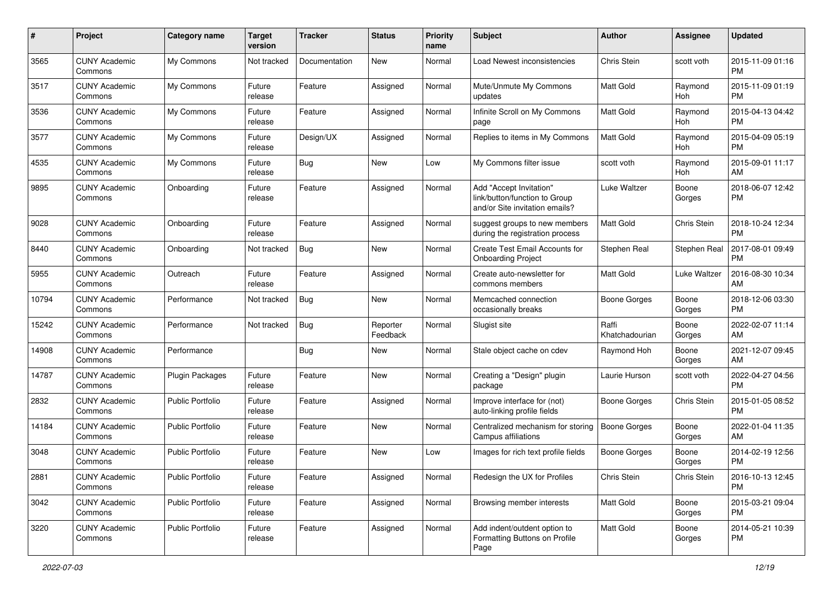| #     | Project                         | <b>Category name</b>    | <b>Target</b><br>version | <b>Tracker</b> | <b>Status</b>        | Priority<br>name | <b>Subject</b>                                                                             | Author                  | <b>Assignee</b> | <b>Updated</b>                |
|-------|---------------------------------|-------------------------|--------------------------|----------------|----------------------|------------------|--------------------------------------------------------------------------------------------|-------------------------|-----------------|-------------------------------|
| 3565  | <b>CUNY Academic</b><br>Commons | My Commons              | Not tracked              | Documentation  | New                  | Normal           | Load Newest inconsistencies                                                                | Chris Stein             | scott voth      | 2015-11-09 01:16<br><b>PM</b> |
| 3517  | <b>CUNY Academic</b><br>Commons | My Commons              | Future<br>release        | Feature        | Assigned             | Normal           | Mute/Unmute My Commons<br>updates                                                          | <b>Matt Gold</b>        | Raymond<br>Hoh  | 2015-11-09 01:19<br><b>PM</b> |
| 3536  | <b>CUNY Academic</b><br>Commons | My Commons              | Future<br>release        | Feature        | Assigned             | Normal           | Infinite Scroll on My Commons<br>page                                                      | Matt Gold               | Raymond<br>Hoh  | 2015-04-13 04:42<br><b>PM</b> |
| 3577  | <b>CUNY Academic</b><br>Commons | My Commons              | Future<br>release        | Design/UX      | Assigned             | Normal           | Replies to items in My Commons                                                             | <b>Matt Gold</b>        | Raymond<br>Hoh  | 2015-04-09 05:19<br><b>PM</b> |
| 4535  | <b>CUNY Academic</b><br>Commons | My Commons              | Future<br>release        | Bug            | New                  | Low              | My Commons filter issue                                                                    | scott voth              | Raymond<br>Hoh  | 2015-09-01 11:17<br>AM        |
| 9895  | <b>CUNY Academic</b><br>Commons | Onboarding              | Future<br>release        | Feature        | Assigned             | Normal           | Add "Accept Invitation"<br>link/button/function to Group<br>and/or Site invitation emails? | Luke Waltzer            | Boone<br>Gorges | 2018-06-07 12:42<br><b>PM</b> |
| 9028  | <b>CUNY Academic</b><br>Commons | Onboarding              | Future<br>release        | Feature        | Assigned             | Normal           | suggest groups to new members<br>during the registration process                           | Matt Gold               | Chris Stein     | 2018-10-24 12:34<br><b>PM</b> |
| 8440  | <b>CUNY Academic</b><br>Commons | Onboarding              | Not tracked              | Bug            | New                  | Normal           | Create Test Email Accounts for<br><b>Onboarding Project</b>                                | Stephen Real            | Stephen Real    | 2017-08-01 09:49<br><b>PM</b> |
| 5955  | <b>CUNY Academic</b><br>Commons | Outreach                | Future<br>release        | Feature        | Assigned             | Normal           | Create auto-newsletter for<br>commons members                                              | Matt Gold               | Luke Waltzer    | 2016-08-30 10:34<br>AM        |
| 10794 | <b>CUNY Academic</b><br>Commons | Performance             | Not tracked              | Bug            | New                  | Normal           | Memcached connection<br>occasionally breaks                                                | Boone Gorges            | Boone<br>Gorges | 2018-12-06 03:30<br><b>PM</b> |
| 15242 | <b>CUNY Academic</b><br>Commons | Performance             | Not tracked              | <b>Bug</b>     | Reporter<br>Feedback | Normal           | Slugist site                                                                               | Raffi<br>Khatchadourian | Boone<br>Gorges | 2022-02-07 11:14<br>AM        |
| 14908 | CUNY Academic<br>Commons        | Performance             |                          | Bug            | New                  | Normal           | Stale object cache on cdev                                                                 | Raymond Hoh             | Boone<br>Gorges | 2021-12-07 09:45<br>AM        |
| 14787 | <b>CUNY Academic</b><br>Commons | Plugin Packages         | Future<br>release        | Feature        | <b>New</b>           | Normal           | Creating a "Design" plugin<br>package                                                      | Laurie Hurson           | scott voth      | 2022-04-27 04:56<br><b>PM</b> |
| 2832  | <b>CUNY Academic</b><br>Commons | <b>Public Portfolio</b> | Future<br>release        | Feature        | Assigned             | Normal           | Improve interface for (not)<br>auto-linking profile fields                                 | Boone Gorges            | Chris Stein     | 2015-01-05 08:52<br><b>PM</b> |
| 14184 | <b>CUNY Academic</b><br>Commons | <b>Public Portfolio</b> | Future<br>release        | Feature        | New                  | Normal           | Centralized mechanism for storing<br>Campus affiliations                                   | <b>Boone Gorges</b>     | Boone<br>Gorges | 2022-01-04 11:35<br>AM        |
| 3048  | <b>CUNY Academic</b><br>Commons | Public Portfolio        | Future<br>release        | Feature        | New                  | Low              | Images for rich text profile fields                                                        | <b>Boone Gorges</b>     | Boone<br>Gorges | 2014-02-19 12:56<br><b>PM</b> |
| 2881  | <b>CUNY Academic</b><br>Commons | Public Portfolio        | Future<br>release        | Feature        | Assigned             | Normal           | Redesign the UX for Profiles                                                               | Chris Stein             | Chris Stein     | 2016-10-13 12:45<br><b>PM</b> |
| 3042  | <b>CUNY Academic</b><br>Commons | Public Portfolio        | Future<br>release        | Feature        | Assigned             | Normal           | Browsing member interests                                                                  | Matt Gold               | Boone<br>Gorges | 2015-03-21 09:04<br>PM        |
| 3220  | <b>CUNY Academic</b><br>Commons | Public Portfolio        | Future<br>release        | Feature        | Assigned             | Normal           | Add indent/outdent option to<br>Formatting Buttons on Profile<br>Page                      | Matt Gold               | Boone<br>Gorges | 2014-05-21 10:39<br><b>PM</b> |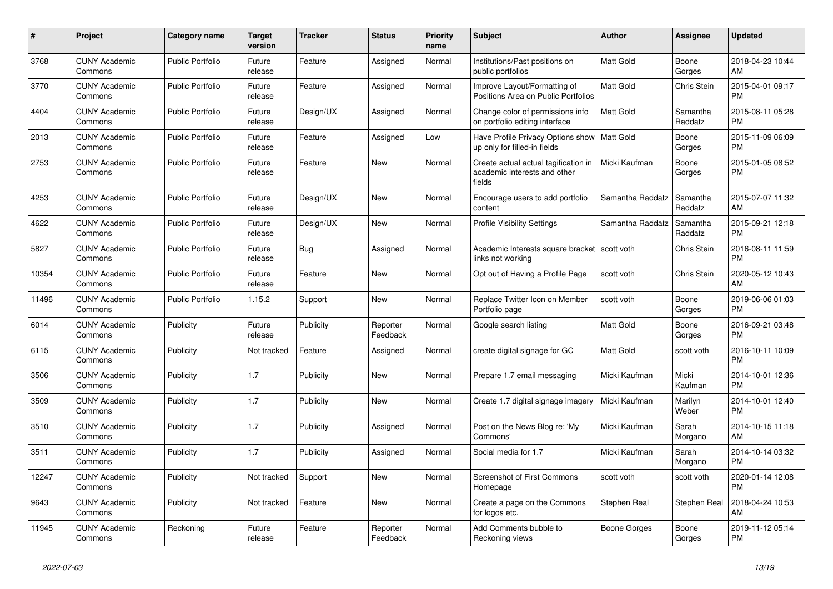| #     | <b>Project</b>                  | Category name           | <b>Target</b><br>version | <b>Tracker</b> | <b>Status</b>        | <b>Priority</b><br>name | <b>Subject</b>                                                                 | <b>Author</b>    | Assignee            | <b>Updated</b>                |
|-------|---------------------------------|-------------------------|--------------------------|----------------|----------------------|-------------------------|--------------------------------------------------------------------------------|------------------|---------------------|-------------------------------|
| 3768  | <b>CUNY Academic</b><br>Commons | <b>Public Portfolio</b> | Future<br>release        | Feature        | Assigned             | Normal                  | Institutions/Past positions on<br>public portfolios                            | <b>Matt Gold</b> | Boone<br>Gorges     | 2018-04-23 10:44<br>AM        |
| 3770  | <b>CUNY Academic</b><br>Commons | <b>Public Portfolio</b> | Future<br>release        | Feature        | Assigned             | Normal                  | Improve Layout/Formatting of<br>Positions Area on Public Portfolios            | <b>Matt Gold</b> | <b>Chris Stein</b>  | 2015-04-01 09:17<br><b>PM</b> |
| 4404  | <b>CUNY Academic</b><br>Commons | <b>Public Portfolio</b> | Future<br>release        | Design/UX      | Assigned             | Normal                  | Change color of permissions info<br>on portfolio editing interface             | <b>Matt Gold</b> | Samantha<br>Raddatz | 2015-08-11 05:28<br><b>PM</b> |
| 2013  | <b>CUNY Academic</b><br>Commons | <b>Public Portfolio</b> | Future<br>release        | Feature        | Assigned             | Low                     | Have Profile Privacy Options show   Matt Gold<br>up only for filled-in fields  |                  | Boone<br>Gorges     | 2015-11-09 06:09<br><b>PM</b> |
| 2753  | <b>CUNY Academic</b><br>Commons | <b>Public Portfolio</b> | Future<br>release        | Feature        | New                  | Normal                  | Create actual actual tagification in<br>academic interests and other<br>fields | Micki Kaufman    | Boone<br>Gorges     | 2015-01-05 08:52<br><b>PM</b> |
| 4253  | <b>CUNY Academic</b><br>Commons | <b>Public Portfolio</b> | Future<br>release        | Design/UX      | New                  | Normal                  | Encourage users to add portfolio<br>content                                    | Samantha Raddatz | Samantha<br>Raddatz | 2015-07-07 11:32<br>AM        |
| 4622  | <b>CUNY Academic</b><br>Commons | <b>Public Portfolio</b> | Future<br>release        | Design/UX      | <b>New</b>           | Normal                  | <b>Profile Visibility Settings</b>                                             | Samantha Raddatz | Samantha<br>Raddatz | 2015-09-21 12:18<br><b>PM</b> |
| 5827  | <b>CUNY Academic</b><br>Commons | <b>Public Portfolio</b> | Future<br>release        | Bug            | Assigned             | Normal                  | Academic Interests square bracket<br>links not working                         | l scott voth     | Chris Stein         | 2016-08-11 11:59<br><b>PM</b> |
| 10354 | <b>CUNY Academic</b><br>Commons | <b>Public Portfolio</b> | Future<br>release        | Feature        | New                  | Normal                  | Opt out of Having a Profile Page                                               | scott voth       | Chris Stein         | 2020-05-12 10:43<br>AM        |
| 11496 | <b>CUNY Academic</b><br>Commons | <b>Public Portfolio</b> | 1.15.2                   | Support        | <b>New</b>           | Normal                  | Replace Twitter Icon on Member<br>Portfolio page                               | scott voth       | Boone<br>Gorges     | 2019-06-06 01:03<br><b>PM</b> |
| 6014  | <b>CUNY Academic</b><br>Commons | Publicity               | Future<br>release        | Publicity      | Reporter<br>Feedback | Normal                  | Google search listing                                                          | <b>Matt Gold</b> | Boone<br>Gorges     | 2016-09-21 03:48<br><b>PM</b> |
| 6115  | <b>CUNY Academic</b><br>Commons | Publicity               | Not tracked              | Feature        | Assigned             | Normal                  | create digital signage for GC                                                  | Matt Gold        | scott voth          | 2016-10-11 10:09<br><b>PM</b> |
| 3506  | <b>CUNY Academic</b><br>Commons | Publicity               | 1.7                      | Publicity      | <b>New</b>           | Normal                  | Prepare 1.7 email messaging                                                    | Micki Kaufman    | Micki<br>Kaufman    | 2014-10-01 12:36<br><b>PM</b> |
| 3509  | <b>CUNY Academic</b><br>Commons | Publicity               | 1.7                      | Publicity      | New                  | Normal                  | Create 1.7 digital signage imagery                                             | Micki Kaufman    | Marilyn<br>Weber    | 2014-10-01 12:40<br><b>PM</b> |
| 3510  | <b>CUNY Academic</b><br>Commons | Publicity               | 1.7                      | Publicity      | Assigned             | Normal                  | Post on the News Blog re: 'My<br>Commons'                                      | Micki Kaufman    | Sarah<br>Morgano    | 2014-10-15 11:18<br>AM        |
| 3511  | <b>CUNY Academic</b><br>Commons | Publicity               | 1.7                      | Publicity      | Assigned             | Normal                  | Social media for 1.7                                                           | Micki Kaufman    | Sarah<br>Morgano    | 2014-10-14 03:32<br><b>PM</b> |
| 12247 | <b>CUNY Academic</b><br>Commons | Publicity               | Not tracked              | Support        | <b>New</b>           | Normal                  | Screenshot of First Commons<br>Homepage                                        | scott voth       | scott voth          | 2020-01-14 12:08<br><b>PM</b> |
| 9643  | <b>CUNY Academic</b><br>Commons | Publicity               | Not tracked              | Feature        | New                  | Normal                  | Create a page on the Commons<br>for logos etc.                                 | Stephen Real     | Stephen Real        | 2018-04-24 10:53<br>AM        |
| 11945 | <b>CUNY Academic</b><br>Commons | Reckoning               | Future<br>release        | Feature        | Reporter<br>Feedback | Normal                  | Add Comments bubble to<br>Reckoning views                                      | Boone Gorges     | Boone<br>Gorges     | 2019-11-12 05:14<br><b>PM</b> |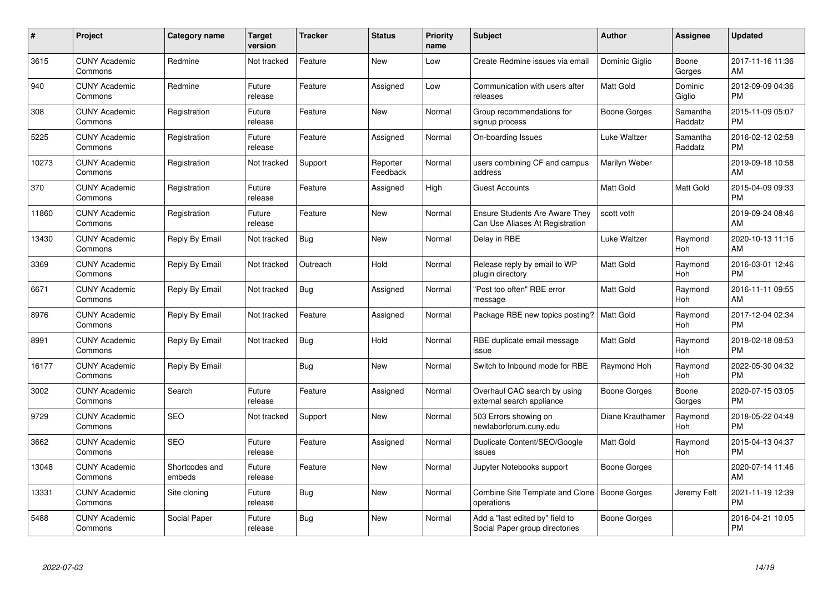| $\#$  | Project                         | <b>Category name</b>     | <b>Target</b><br>version | <b>Tracker</b> | <b>Status</b>        | Priority<br>name | <b>Subject</b>                                                           | <b>Author</b>       | <b>Assignee</b>     | <b>Updated</b>                |
|-------|---------------------------------|--------------------------|--------------------------|----------------|----------------------|------------------|--------------------------------------------------------------------------|---------------------|---------------------|-------------------------------|
| 3615  | <b>CUNY Academic</b><br>Commons | Redmine                  | Not tracked              | Feature        | <b>New</b>           | Low              | Create Redmine issues via email                                          | Dominic Giglio      | Boone<br>Gorges     | 2017-11-16 11:36<br>AM        |
| 940   | <b>CUNY Academic</b><br>Commons | Redmine                  | Future<br>release        | Feature        | Assigned             | Low              | Communication with users after<br>releases                               | <b>Matt Gold</b>    | Dominic<br>Giglio   | 2012-09-09 04:36<br><b>PM</b> |
| 308   | <b>CUNY Academic</b><br>Commons | Registration             | Future<br>release        | Feature        | <b>New</b>           | Normal           | Group recommendations for<br>signup process                              | Boone Gorges        | Samantha<br>Raddatz | 2015-11-09 05:07<br><b>PM</b> |
| 5225  | <b>CUNY Academic</b><br>Commons | Registration             | Future<br>release        | Feature        | Assigned             | Normal           | On-boarding Issues                                                       | Luke Waltzer        | Samantha<br>Raddatz | 2016-02-12 02:58<br><b>PM</b> |
| 10273 | <b>CUNY Academic</b><br>Commons | Registration             | Not tracked              | Support        | Reporter<br>Feedback | Normal           | users combining CF and campus<br>address                                 | Marilyn Weber       |                     | 2019-09-18 10:58<br>AM        |
| 370   | <b>CUNY Academic</b><br>Commons | Registration             | Future<br>release        | Feature        | Assigned             | High             | <b>Guest Accounts</b>                                                    | <b>Matt Gold</b>    | Matt Gold           | 2015-04-09 09:33<br><b>PM</b> |
| 11860 | <b>CUNY Academic</b><br>Commons | Registration             | Future<br>release        | Feature        | <b>New</b>           | Normal           | <b>Ensure Students Are Aware They</b><br>Can Use Aliases At Registration | scott voth          |                     | 2019-09-24 08:46<br>AM        |
| 13430 | <b>CUNY Academic</b><br>Commons | Reply By Email           | Not tracked              | Bug            | <b>New</b>           | Normal           | Delay in RBE                                                             | Luke Waltzer        | Raymond<br>Hoh      | 2020-10-13 11:16<br>AM        |
| 3369  | <b>CUNY Academic</b><br>Commons | Reply By Email           | Not tracked              | Outreach       | Hold                 | Normal           | Release reply by email to WP<br>plugin directory                         | <b>Matt Gold</b>    | Raymond<br>Hoh      | 2016-03-01 12:46<br><b>PM</b> |
| 6671  | <b>CUNY Academic</b><br>Commons | Reply By Email           | Not tracked              | Bug            | Assigned             | Normal           | "Post too often" RBE error<br>message                                    | <b>Matt Gold</b>    | Raymond<br>Hoh      | 2016-11-11 09:55<br>AM        |
| 8976  | <b>CUNY Academic</b><br>Commons | Reply By Email           | Not tracked              | Feature        | Assigned             | Normal           | Package RBE new topics posting?                                          | <b>Matt Gold</b>    | Raymond<br>Hoh      | 2017-12-04 02:34<br><b>PM</b> |
| 8991  | <b>CUNY Academic</b><br>Commons | Reply By Email           | Not tracked              | Bug            | Hold                 | Normal           | RBE duplicate email message<br>issue                                     | Matt Gold           | Raymond<br>Hoh      | 2018-02-18 08:53<br><b>PM</b> |
| 16177 | <b>CUNY Academic</b><br>Commons | Reply By Email           |                          | Bug            | New                  | Normal           | Switch to Inbound mode for RBE                                           | Raymond Hoh         | Raymond<br>Hoh      | 2022-05-30 04:32<br><b>PM</b> |
| 3002  | <b>CUNY Academic</b><br>Commons | Search                   | Future<br>release        | Feature        | Assigned             | Normal           | Overhaul CAC search by using<br>external search appliance                | <b>Boone Gorges</b> | Boone<br>Gorges     | 2020-07-15 03:05<br><b>PM</b> |
| 9729  | <b>CUNY Academic</b><br>Commons | <b>SEO</b>               | Not tracked              | Support        | New                  | Normal           | 503 Errors showing on<br>newlaborforum.cuny.edu                          | Diane Krauthamer    | Raymond<br>Hoh      | 2018-05-22 04:48<br><b>PM</b> |
| 3662  | <b>CUNY Academic</b><br>Commons | <b>SEO</b>               | Future<br>release        | Feature        | Assigned             | Normal           | Duplicate Content/SEO/Google<br>issues                                   | Matt Gold           | Raymond<br>Hoh      | 2015-04-13 04:37<br><b>PM</b> |
| 13048 | <b>CUNY Academic</b><br>Commons | Shortcodes and<br>embeds | Future<br>release        | Feature        | New                  | Normal           | Jupyter Notebooks support                                                | Boone Gorges        |                     | 2020-07-14 11:46<br>AM        |
| 13331 | <b>CUNY Academic</b><br>Commons | Site cloning             | Future<br>release        | Bug            | New                  | Normal           | Combine Site Template and Clone<br>operations                            | Boone Gorges        | Jeremy Felt         | 2021-11-19 12:39<br><b>PM</b> |
| 5488  | <b>CUNY Academic</b><br>Commons | Social Paper             | Future<br>release        | Bug            | <b>New</b>           | Normal           | Add a "last edited by" field to<br>Social Paper group directories        | Boone Gorges        |                     | 2016-04-21 10:05<br><b>PM</b> |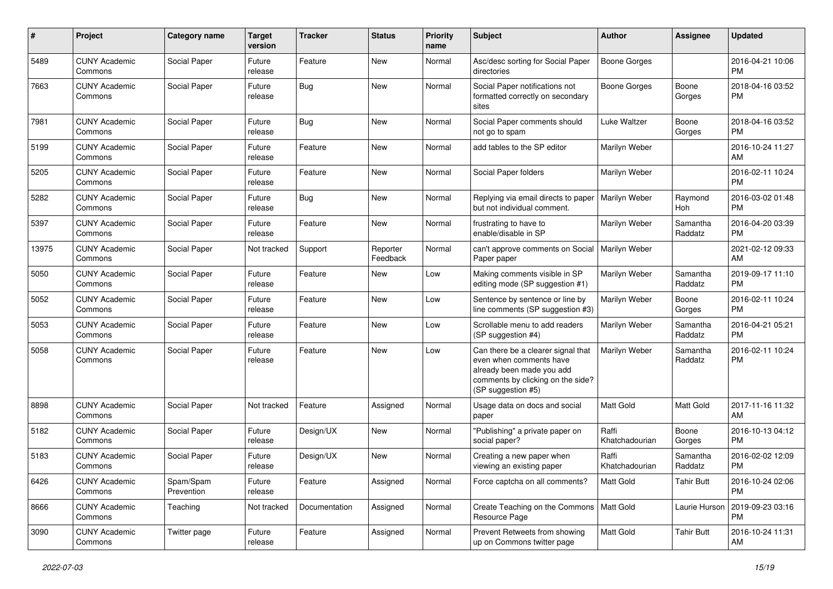| $\#$  | Project                         | <b>Category name</b>    | <b>Target</b><br>version | <b>Tracker</b> | <b>Status</b>        | <b>Priority</b><br>name | <b>Subject</b>                                                                                                                                        | Author                  | <b>Assignee</b>       | <b>Updated</b>                |
|-------|---------------------------------|-------------------------|--------------------------|----------------|----------------------|-------------------------|-------------------------------------------------------------------------------------------------------------------------------------------------------|-------------------------|-----------------------|-------------------------------|
| 5489  | <b>CUNY Academic</b><br>Commons | Social Paper            | Future<br>release        | Feature        | <b>New</b>           | Normal                  | Asc/desc sorting for Social Paper<br>directories                                                                                                      | <b>Boone Gorges</b>     |                       | 2016-04-21 10:06<br><b>PM</b> |
| 7663  | <b>CUNY Academic</b><br>Commons | Social Paper            | Future<br>release        | Bug            | New                  | Normal                  | Social Paper notifications not<br>formatted correctly on secondary<br>sites                                                                           | <b>Boone Gorges</b>     | Boone<br>Gorges       | 2018-04-16 03:52<br><b>PM</b> |
| 7981  | <b>CUNY Academic</b><br>Commons | Social Paper            | Future<br>release        | Bug            | New                  | Normal                  | Social Paper comments should<br>not go to spam                                                                                                        | Luke Waltzer            | Boone<br>Gorges       | 2018-04-16 03:52<br><b>PM</b> |
| 5199  | <b>CUNY Academic</b><br>Commons | Social Paper            | Future<br>release        | Feature        | <b>New</b>           | Normal                  | add tables to the SP editor                                                                                                                           | Marilyn Weber           |                       | 2016-10-24 11:27<br>AM        |
| 5205  | <b>CUNY Academic</b><br>Commons | Social Paper            | Future<br>release        | Feature        | New                  | Normal                  | Social Paper folders                                                                                                                                  | Marilyn Weber           |                       | 2016-02-11 10:24<br><b>PM</b> |
| 5282  | <b>CUNY Academic</b><br>Commons | Social Paper            | Future<br>release        | Bug            | New                  | Normal                  | Replying via email directs to paper<br>but not individual comment.                                                                                    | Marilyn Weber           | Raymond<br><b>Hoh</b> | 2016-03-02 01:48<br><b>PM</b> |
| 5397  | <b>CUNY Academic</b><br>Commons | Social Paper            | Future<br>release        | Feature        | New                  | Normal                  | frustrating to have to<br>enable/disable in SP                                                                                                        | Marilyn Weber           | Samantha<br>Raddatz   | 2016-04-20 03:39<br><b>PM</b> |
| 13975 | <b>CUNY Academic</b><br>Commons | Social Paper            | Not tracked              | Support        | Reporter<br>Feedback | Normal                  | can't approve comments on Social<br>Paper paper                                                                                                       | Marilyn Weber           |                       | 2021-02-12 09:33<br>AM        |
| 5050  | <b>CUNY Academic</b><br>Commons | Social Paper            | Future<br>release        | Feature        | New                  | Low                     | Making comments visible in SP<br>editing mode (SP suggestion #1)                                                                                      | Marilyn Weber           | Samantha<br>Raddatz   | 2019-09-17 11:10<br><b>PM</b> |
| 5052  | <b>CUNY Academic</b><br>Commons | Social Paper            | Future<br>release        | Feature        | New                  | Low                     | Sentence by sentence or line by<br>line comments (SP suggestion #3)                                                                                   | Marilyn Weber           | Boone<br>Gorges       | 2016-02-11 10:24<br><b>PM</b> |
| 5053  | <b>CUNY Academic</b><br>Commons | Social Paper            | Future<br>release        | Feature        | New                  | Low                     | Scrollable menu to add readers<br>(SP suggestion #4)                                                                                                  | Marilyn Weber           | Samantha<br>Raddatz   | 2016-04-21 05:21<br><b>PM</b> |
| 5058  | <b>CUNY Academic</b><br>Commons | Social Paper            | Future<br>release        | Feature        | <b>New</b>           | Low                     | Can there be a clearer signal that<br>even when comments have<br>already been made you add<br>comments by clicking on the side?<br>(SP suggestion #5) | Marilyn Weber           | Samantha<br>Raddatz   | 2016-02-11 10:24<br><b>PM</b> |
| 8898  | <b>CUNY Academic</b><br>Commons | Social Paper            | Not tracked              | Feature        | Assigned             | Normal                  | Usage data on docs and social<br>paper                                                                                                                | <b>Matt Gold</b>        | Matt Gold             | 2017-11-16 11:32<br>AM        |
| 5182  | <b>CUNY Academic</b><br>Commons | Social Paper            | Future<br>release        | Design/UX      | New                  | Normal                  | "Publishing" a private paper on<br>social paper?                                                                                                      | Raffi<br>Khatchadourian | Boone<br>Gorges       | 2016-10-13 04:12<br><b>PM</b> |
| 5183  | <b>CUNY Academic</b><br>Commons | Social Paper            | Future<br>release        | Design/UX      | New                  | Normal                  | Creating a new paper when<br>viewing an existing paper                                                                                                | Raffi<br>Khatchadourian | Samantha<br>Raddatz   | 2016-02-02 12:09<br><b>PM</b> |
| 6426  | <b>CUNY Academic</b><br>Commons | Spam/Spam<br>Prevention | Future<br>release        | Feature        | Assigned             | Normal                  | Force captcha on all comments?                                                                                                                        | Matt Gold               | <b>Tahir Butt</b>     | 2016-10-24 02:06<br><b>PM</b> |
| 8666  | <b>CUNY Academic</b><br>Commons | Teaching                | Not tracked              | Documentation  | Assigned             | Normal                  | Create Teaching on the Commons   Matt Gold<br>Resource Page                                                                                           |                         | Laurie Hurson         | 2019-09-23 03:16<br><b>PM</b> |
| 3090  | <b>CUNY Academic</b><br>Commons | Twitter page            | Future<br>release        | Feature        | Assigned             | Normal                  | Prevent Retweets from showing<br>up on Commons twitter page                                                                                           | Matt Gold               | <b>Tahir Butt</b>     | 2016-10-24 11:31<br>AM        |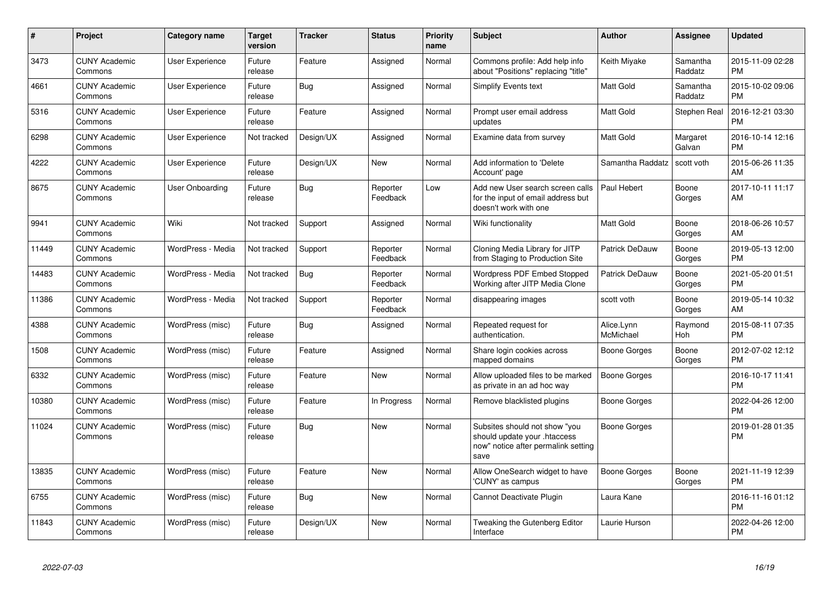| #     | <b>Project</b>                  | Category name          | <b>Target</b><br>version | <b>Tracker</b> | <b>Status</b>        | <b>Priority</b><br>name | <b>Subject</b>                                                                                               | <b>Author</b>           | Assignee            | <b>Updated</b>                |
|-------|---------------------------------|------------------------|--------------------------|----------------|----------------------|-------------------------|--------------------------------------------------------------------------------------------------------------|-------------------------|---------------------|-------------------------------|
| 3473  | <b>CUNY Academic</b><br>Commons | User Experience        | Future<br>release        | Feature        | Assigned             | Normal                  | Commons profile: Add help info<br>about "Positions" replacing "title"                                        | Keith Miyake            | Samantha<br>Raddatz | 2015-11-09 02:28<br><b>PM</b> |
| 4661  | <b>CUNY Academic</b><br>Commons | <b>User Experience</b> | Future<br>release        | Bug            | Assigned             | Normal                  | Simplify Events text                                                                                         | <b>Matt Gold</b>        | Samantha<br>Raddatz | 2015-10-02 09:06<br><b>PM</b> |
| 5316  | <b>CUNY Academic</b><br>Commons | <b>User Experience</b> | Future<br>release        | Feature        | Assigned             | Normal                  | Prompt user email address<br>updates                                                                         | Matt Gold               | Stephen Real        | 2016-12-21 03:30<br><b>PM</b> |
| 6298  | <b>CUNY Academic</b><br>Commons | <b>User Experience</b> | Not tracked              | Design/UX      | Assigned             | Normal                  | Examine data from survey                                                                                     | <b>Matt Gold</b>        | Margaret<br>Galvan  | 2016-10-14 12:16<br><b>PM</b> |
| 4222  | <b>CUNY Academic</b><br>Commons | User Experience        | Future<br>release        | Design/UX      | <b>New</b>           | Normal                  | Add information to 'Delete<br>Account' page                                                                  | Samantha Raddatz        | scott voth          | 2015-06-26 11:35<br>AM.       |
| 8675  | <b>CUNY Academic</b><br>Commons | User Onboarding        | Future<br>release        | Bug            | Reporter<br>Feedback | Low                     | Add new User search screen calls<br>for the input of email address but<br>doesn't work with one              | Paul Hebert             | Boone<br>Gorges     | 2017-10-11 11:17<br>AM.       |
| 9941  | <b>CUNY Academic</b><br>Commons | Wiki                   | Not tracked              | Support        | Assigned             | Normal                  | Wiki functionality                                                                                           | <b>Matt Gold</b>        | Boone<br>Gorges     | 2018-06-26 10:57<br>AM        |
| 11449 | <b>CUNY Academic</b><br>Commons | WordPress - Media      | Not tracked              | Support        | Reporter<br>Feedback | Normal                  | Cloning Media Library for JITP<br>from Staging to Production Site                                            | <b>Patrick DeDauw</b>   | Boone<br>Gorges     | 2019-05-13 12:00<br><b>PM</b> |
| 14483 | <b>CUNY Academic</b><br>Commons | WordPress - Media      | Not tracked              | Bug            | Reporter<br>Feedback | Normal                  | <b>Wordpress PDF Embed Stopped</b><br>Working after JITP Media Clone                                         | <b>Patrick DeDauw</b>   | Boone<br>Gorges     | 2021-05-20 01:51<br><b>PM</b> |
| 11386 | <b>CUNY Academic</b><br>Commons | WordPress - Media      | Not tracked              | Support        | Reporter<br>Feedback | Normal                  | disappearing images                                                                                          | scott voth              | Boone<br>Gorges     | 2019-05-14 10:32<br>AM        |
| 4388  | <b>CUNY Academic</b><br>Commons | WordPress (misc)       | Future<br>release        | Bug            | Assigned             | Normal                  | Repeated request for<br>authentication.                                                                      | Alice.Lynn<br>McMichael | Raymond<br>Hoh      | 2015-08-11 07:35<br><b>PM</b> |
| 1508  | <b>CUNY Academic</b><br>Commons | WordPress (misc)       | Future<br>release        | Feature        | Assigned             | Normal                  | Share login cookies across<br>mapped domains                                                                 | Boone Gorges            | Boone<br>Gorges     | 2012-07-02 12:12<br><b>PM</b> |
| 6332  | <b>CUNY Academic</b><br>Commons | WordPress (misc)       | Future<br>release        | Feature        | <b>New</b>           | Normal                  | Allow uploaded files to be marked<br>as private in an ad hoc way                                             | <b>Boone Gorges</b>     |                     | 2016-10-17 11:41<br><b>PM</b> |
| 10380 | <b>CUNY Academic</b><br>Commons | WordPress (misc)       | Future<br>release        | Feature        | In Progress          | Normal                  | Remove blacklisted plugins                                                                                   | Boone Gorges            |                     | 2022-04-26 12:00<br><b>PM</b> |
| 11024 | <b>CUNY Academic</b><br>Commons | WordPress (misc)       | Future<br>release        | Bug            | <b>New</b>           | Normal                  | Subsites should not show "you<br>should update your .htaccess<br>now" notice after permalink setting<br>save | Boone Gorges            |                     | 2019-01-28 01:35<br>PM        |
| 13835 | <b>CUNY Academic</b><br>Commons | WordPress (misc)       | Future<br>release        | Feature        | New                  | Normal                  | Allow OneSearch widget to have<br>'CUNY' as campus                                                           | Boone Gorges            | Boone<br>Gorges     | 2021-11-19 12:39<br><b>PM</b> |
| 6755  | <b>CUNY Academic</b><br>Commons | WordPress (misc)       | Future<br>release        | Bug            | <b>New</b>           | Normal                  | Cannot Deactivate Plugin                                                                                     | Laura Kane              |                     | 2016-11-16 01:12<br><b>PM</b> |
| 11843 | <b>CUNY Academic</b><br>Commons | WordPress (misc)       | Future<br>release        | Design/UX      | <b>New</b>           | Normal                  | Tweaking the Gutenberg Editor<br>Interface                                                                   | Laurie Hurson           |                     | 2022-04-26 12:00<br><b>PM</b> |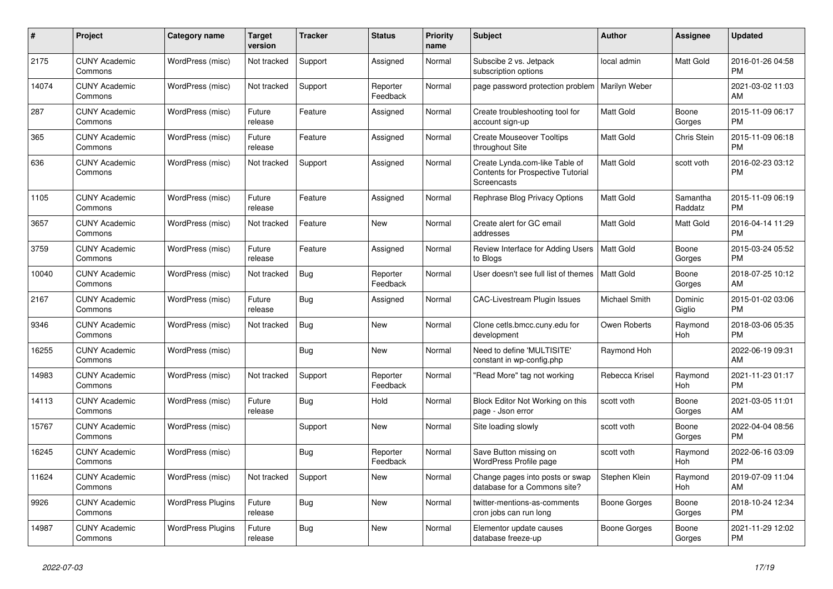| $\pmb{\#}$ | Project                         | Category name            | <b>Target</b><br>version | <b>Tracker</b> | <b>Status</b>        | Priority<br>name | <b>Subject</b>                                                                     | <b>Author</b>    | Assignee            | <b>Updated</b>                |
|------------|---------------------------------|--------------------------|--------------------------|----------------|----------------------|------------------|------------------------------------------------------------------------------------|------------------|---------------------|-------------------------------|
| 2175       | <b>CUNY Academic</b><br>Commons | WordPress (misc)         | Not tracked              | Support        | Assigned             | Normal           | Subscibe 2 vs. Jetpack<br>subscription options                                     | local admin      | Matt Gold           | 2016-01-26 04:58<br><b>PM</b> |
| 14074      | <b>CUNY Academic</b><br>Commons | WordPress (misc)         | Not tracked              | Support        | Reporter<br>Feedback | Normal           | page password protection problem                                                   | Marilyn Weber    |                     | 2021-03-02 11:03<br>AM        |
| 287        | <b>CUNY Academic</b><br>Commons | WordPress (misc)         | Future<br>release        | Feature        | Assigned             | Normal           | Create troubleshooting tool for<br>account sign-up                                 | Matt Gold        | Boone<br>Gorges     | 2015-11-09 06:17<br><b>PM</b> |
| 365        | <b>CUNY Academic</b><br>Commons | WordPress (misc)         | Future<br>release        | Feature        | Assigned             | Normal           | <b>Create Mouseover Tooltips</b><br>throughout Site                                | <b>Matt Gold</b> | Chris Stein         | 2015-11-09 06:18<br><b>PM</b> |
| 636        | <b>CUNY Academic</b><br>Commons | WordPress (misc)         | Not tracked              | Support        | Assigned             | Normal           | Create Lynda.com-like Table of<br>Contents for Prospective Tutorial<br>Screencasts | Matt Gold        | scott voth          | 2016-02-23 03:12<br><b>PM</b> |
| 1105       | <b>CUNY Academic</b><br>Commons | WordPress (misc)         | Future<br>release        | Feature        | Assigned             | Normal           | Rephrase Blog Privacy Options                                                      | <b>Matt Gold</b> | Samantha<br>Raddatz | 2015-11-09 06:19<br><b>PM</b> |
| 3657       | <b>CUNY Academic</b><br>Commons | WordPress (misc)         | Not tracked              | Feature        | <b>New</b>           | Normal           | Create alert for GC email<br>addresses                                             | Matt Gold        | Matt Gold           | 2016-04-14 11:29<br><b>PM</b> |
| 3759       | <b>CUNY Academic</b><br>Commons | WordPress (misc)         | Future<br>release        | Feature        | Assigned             | Normal           | Review Interface for Adding Users<br>to Blogs                                      | <b>Matt Gold</b> | Boone<br>Gorges     | 2015-03-24 05:52<br><b>PM</b> |
| 10040      | <b>CUNY Academic</b><br>Commons | WordPress (misc)         | Not tracked              | Bug            | Reporter<br>Feedback | Normal           | User doesn't see full list of themes                                               | <b>Matt Gold</b> | Boone<br>Gorges     | 2018-07-25 10:12<br>AM        |
| 2167       | <b>CUNY Academic</b><br>Commons | WordPress (misc)         | Future<br>release        | Bug            | Assigned             | Normal           | <b>CAC-Livestream Plugin Issues</b>                                                | Michael Smith    | Dominic<br>Giglio   | 2015-01-02 03:06<br><b>PM</b> |
| 9346       | <b>CUNY Academic</b><br>Commons | WordPress (misc)         | Not tracked              | Bug            | New                  | Normal           | Clone cetls.bmcc.cuny.edu for<br>development                                       | Owen Roberts     | Raymond<br>Hoh      | 2018-03-06 05:35<br><b>PM</b> |
| 16255      | <b>CUNY Academic</b><br>Commons | WordPress (misc)         |                          | Bug            | New                  | Normal           | Need to define 'MULTISITE'<br>constant in wp-config.php                            | Raymond Hoh      |                     | 2022-06-19 09:31<br>AM        |
| 14983      | <b>CUNY Academic</b><br>Commons | WordPress (misc)         | Not tracked              | Support        | Reporter<br>Feedback | Normal           | "Read More" tag not working                                                        | Rebecca Krisel   | Raymond<br>Hoh      | 2021-11-23 01:17<br><b>PM</b> |
| 14113      | <b>CUNY Academic</b><br>Commons | WordPress (misc)         | Future<br>release        | Bug            | Hold                 | Normal           | Block Editor Not Working on this<br>page - Json error                              | scott voth       | Boone<br>Gorges     | 2021-03-05 11:01<br>AM        |
| 15767      | <b>CUNY Academic</b><br>Commons | WordPress (misc)         |                          | Support        | New                  | Normal           | Site loading slowly                                                                | scott voth       | Boone<br>Gorges     | 2022-04-04 08:56<br><b>PM</b> |
| 16245      | <b>CUNY Academic</b><br>Commons | WordPress (misc)         |                          | Bug            | Reporter<br>Feedback | Normal           | Save Button missing on<br>WordPress Profile page                                   | scott voth       | Raymond<br>Hoh      | 2022-06-16 03:09<br><b>PM</b> |
| 11624      | <b>CUNY Academic</b><br>Commons | WordPress (misc)         | Not tracked              | Support        | New                  | Normal           | Change pages into posts or swap<br>database for a Commons site?                    | Stephen Klein    | Raymond<br>Hoh      | 2019-07-09 11:04<br>AM        |
| 9926       | <b>CUNY Academic</b><br>Commons | <b>WordPress Plugins</b> | Future<br>release        | <b>Bug</b>     | <b>New</b>           | Normal           | twitter-mentions-as-comments<br>cron jobs can run long                             | Boone Gorges     | Boone<br>Gorges     | 2018-10-24 12:34<br><b>PM</b> |
| 14987      | <b>CUNY Academic</b><br>Commons | <b>WordPress Plugins</b> | Future<br>release        | Bug            | <b>New</b>           | Normal           | Elementor update causes<br>database freeze-up                                      | Boone Gorges     | Boone<br>Gorges     | 2021-11-29 12:02<br><b>PM</b> |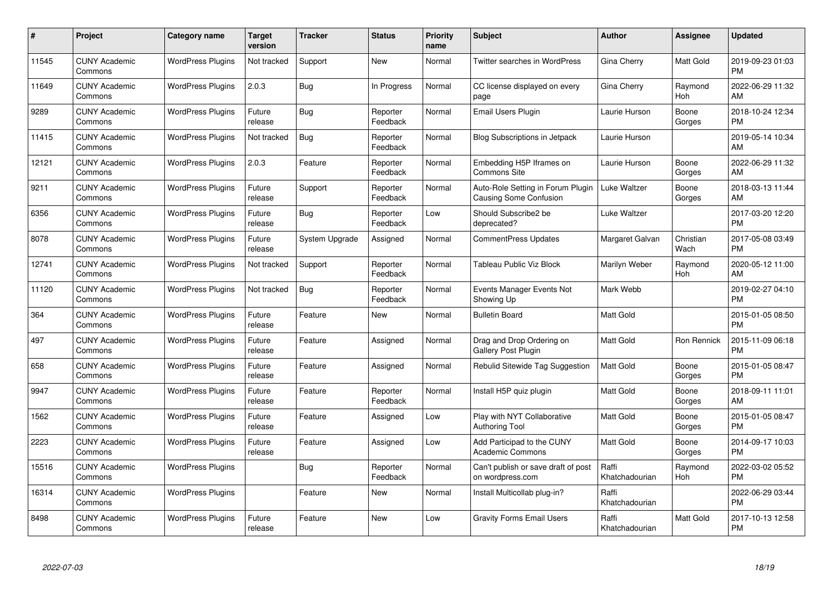| #     | Project                         | <b>Category name</b>     | <b>Target</b><br>version | <b>Tracker</b> | <b>Status</b>        | Priority<br>name | <b>Subject</b>                                              | <b>Author</b>           | <b>Assignee</b>    | <b>Updated</b>                |
|-------|---------------------------------|--------------------------|--------------------------|----------------|----------------------|------------------|-------------------------------------------------------------|-------------------------|--------------------|-------------------------------|
| 11545 | <b>CUNY Academic</b><br>Commons | <b>WordPress Plugins</b> | Not tracked              | Support        | <b>New</b>           | Normal           | <b>Twitter searches in WordPress</b>                        | Gina Cherry             | <b>Matt Gold</b>   | 2019-09-23 01:03<br><b>PM</b> |
| 11649 | <b>CUNY Academic</b><br>Commons | <b>WordPress Plugins</b> | 2.0.3                    | Bug            | In Progress          | Normal           | CC license displayed on every<br>page                       | Gina Cherry             | Raymond<br>Hoh     | 2022-06-29 11:32<br>AM        |
| 9289  | <b>CUNY Academic</b><br>Commons | <b>WordPress Plugins</b> | Future<br>release        | Bug            | Reporter<br>Feedback | Normal           | Email Users Plugin                                          | Laurie Hurson           | Boone<br>Gorges    | 2018-10-24 12:34<br><b>PM</b> |
| 11415 | <b>CUNY Academic</b><br>Commons | <b>WordPress Plugins</b> | Not tracked              | Bug            | Reporter<br>Feedback | Normal           | <b>Blog Subscriptions in Jetpack</b>                        | Laurie Hurson           |                    | 2019-05-14 10:34<br>AM        |
| 12121 | <b>CUNY Academic</b><br>Commons | <b>WordPress Plugins</b> | 2.0.3                    | Feature        | Reporter<br>Feedback | Normal           | Embedding H5P Iframes on<br><b>Commons Site</b>             | Laurie Hurson           | Boone<br>Gorges    | 2022-06-29 11:32<br>AM        |
| 9211  | <b>CUNY Academic</b><br>Commons | <b>WordPress Plugins</b> | Future<br>release        | Support        | Reporter<br>Feedback | Normal           | Auto-Role Setting in Forum Plugin<br>Causing Some Confusion | Luke Waltzer            | Boone<br>Gorges    | 2018-03-13 11:44<br>AM        |
| 6356  | <b>CUNY Academic</b><br>Commons | <b>WordPress Plugins</b> | Future<br>release        | Bug            | Reporter<br>Feedback | Low              | Should Subscribe2 be<br>deprecated?                         | Luke Waltzer            |                    | 2017-03-20 12:20<br><b>PM</b> |
| 8078  | <b>CUNY Academic</b><br>Commons | <b>WordPress Plugins</b> | Future<br>release        | System Upgrade | Assigned             | Normal           | <b>CommentPress Updates</b>                                 | Margaret Galvan         | Christian<br>Wach  | 2017-05-08 03:49<br><b>PM</b> |
| 12741 | <b>CUNY Academic</b><br>Commons | <b>WordPress Plugins</b> | Not tracked              | Support        | Reporter<br>Feedback | Normal           | <b>Tableau Public Viz Block</b>                             | Marilyn Weber           | Raymond<br>Hoh     | 2020-05-12 11:00<br>AM        |
| 11120 | <b>CUNY Academic</b><br>Commons | <b>WordPress Plugins</b> | Not tracked              | <b>Bug</b>     | Reporter<br>Feedback | Normal           | Events Manager Events Not<br>Showing Up                     | Mark Webb               |                    | 2019-02-27 04:10<br><b>PM</b> |
| 364   | <b>CUNY Academic</b><br>Commons | <b>WordPress Plugins</b> | Future<br>release        | Feature        | <b>New</b>           | Normal           | <b>Bulletin Board</b>                                       | Matt Gold               |                    | 2015-01-05 08:50<br><b>PM</b> |
| 497   | <b>CUNY Academic</b><br>Commons | <b>WordPress Plugins</b> | Future<br>release        | Feature        | Assigned             | Normal           | Drag and Drop Ordering on<br>Gallery Post Plugin            | Matt Gold               | <b>Ron Rennick</b> | 2015-11-09 06:18<br><b>PM</b> |
| 658   | <b>CUNY Academic</b><br>Commons | <b>WordPress Plugins</b> | Future<br>release        | Feature        | Assigned             | Normal           | Rebulid Sitewide Tag Suggestion                             | <b>Matt Gold</b>        | Boone<br>Gorges    | 2015-01-05 08:47<br><b>PM</b> |
| 9947  | <b>CUNY Academic</b><br>Commons | <b>WordPress Plugins</b> | Future<br>release        | Feature        | Reporter<br>Feedback | Normal           | Install H5P quiz plugin                                     | <b>Matt Gold</b>        | Boone<br>Gorges    | 2018-09-11 11:01<br>AM        |
| 1562  | <b>CUNY Academic</b><br>Commons | <b>WordPress Plugins</b> | Future<br>release        | Feature        | Assigned             | Low              | Play with NYT Collaborative<br><b>Authoring Tool</b>        | Matt Gold               | Boone<br>Gorges    | 2015-01-05 08:47<br><b>PM</b> |
| 2223  | <b>CUNY Academic</b><br>Commons | <b>WordPress Plugins</b> | Future<br>release        | Feature        | Assigned             | Low              | Add Participad to the CUNY<br><b>Academic Commons</b>       | Matt Gold               | Boone<br>Gorges    | 2014-09-17 10:03<br><b>PM</b> |
| 15516 | <b>CUNY Academic</b><br>Commons | <b>WordPress Plugins</b> |                          | <b>Bug</b>     | Reporter<br>Feedback | Normal           | Can't publish or save draft of post<br>on wordpress.com     | Raffi<br>Khatchadourian | Raymond<br>Hoh     | 2022-03-02 05:52<br><b>PM</b> |
| 16314 | <b>CUNY Academic</b><br>Commons | <b>WordPress Plugins</b> |                          | Feature        | New                  | Normal           | Install Multicollab plug-in?                                | Raffi<br>Khatchadourian |                    | 2022-06-29 03:44<br><b>PM</b> |
| 8498  | <b>CUNY Academic</b><br>Commons | <b>WordPress Plugins</b> | Future<br>release        | Feature        | <b>New</b>           | Low              | <b>Gravity Forms Email Users</b>                            | Raffi<br>Khatchadourian | Matt Gold          | 2017-10-13 12:58<br><b>PM</b> |